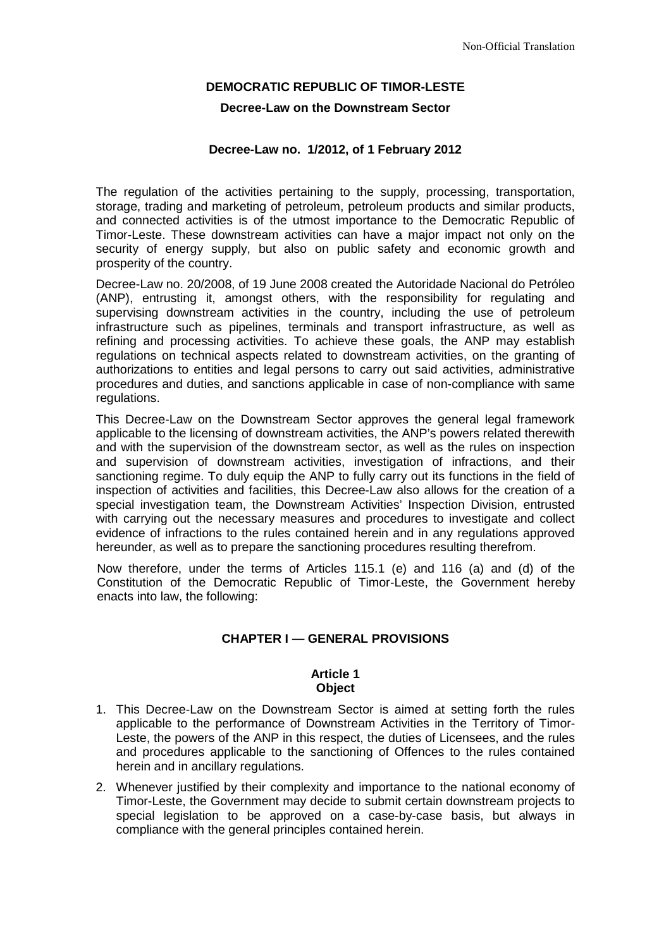#### **DEMOCRATIC REPUBLIC OF TIMOR-LESTE**

#### **Decree-Law on the Downstream Sector**

#### **Decree-Law no. 1/2012, of 1 February 2012**

The regulation of the activities pertaining to the supply, processing, transportation, storage, trading and marketing of petroleum, petroleum products and similar products, and connected activities is of the utmost importance to the Democratic Republic of Timor-Leste. These downstream activities can have a major impact not only on the security of energy supply, but also on public safety and economic growth and prosperity of the country.

Decree-Law no. 20/2008, of 19 June 2008 created the Autoridade Nacional do Petróleo (ANP), entrusting it, amongst others, with the responsibility for regulating and supervising downstream activities in the country, including the use of petroleum infrastructure such as pipelines, terminals and transport infrastructure, as well as refining and processing activities. To achieve these goals, the ANP may establish regulations on technical aspects related to downstream activities, on the granting of authorizations to entities and legal persons to carry out said activities, administrative procedures and duties, and sanctions applicable in case of non-compliance with same regulations.

This Decree-Law on the Downstream Sector approves the general legal framework applicable to the licensing of downstream activities, the ANP's powers related therewith and with the supervision of the downstream sector, as well as the rules on inspection and supervision of downstream activities, investigation of infractions, and their sanctioning regime. To duly equip the ANP to fully carry out its functions in the field of inspection of activities and facilities, this Decree-Law also allows for the creation of a special investigation team, the Downstream Activities' Inspection Division, entrusted with carrying out the necessary measures and procedures to investigate and collect evidence of infractions to the rules contained herein and in any regulations approved hereunder, as well as to prepare the sanctioning procedures resulting therefrom.

Now therefore, under the terms of Articles 115.1 (e) and 116 (a) and (d) of the Constitution of the Democratic Republic of Timor-Leste, the Government hereby enacts into law, the following:

#### **CHAPTER I — GENERAL PROVISIONS**

#### **Article 1 Object**

- 1. This Decree-Law on the Downstream Sector is aimed at setting forth the rules applicable to the performance of Downstream Activities in the Territory of Timor-Leste, the powers of the ANP in this respect, the duties of Licensees, and the rules and procedures applicable to the sanctioning of Offences to the rules contained herein and in ancillary regulations.
- 2. Whenever justified by their complexity and importance to the national economy of Timor-Leste, the Government may decide to submit certain downstream projects to special legislation to be approved on a case-by-case basis, but always in compliance with the general principles contained herein.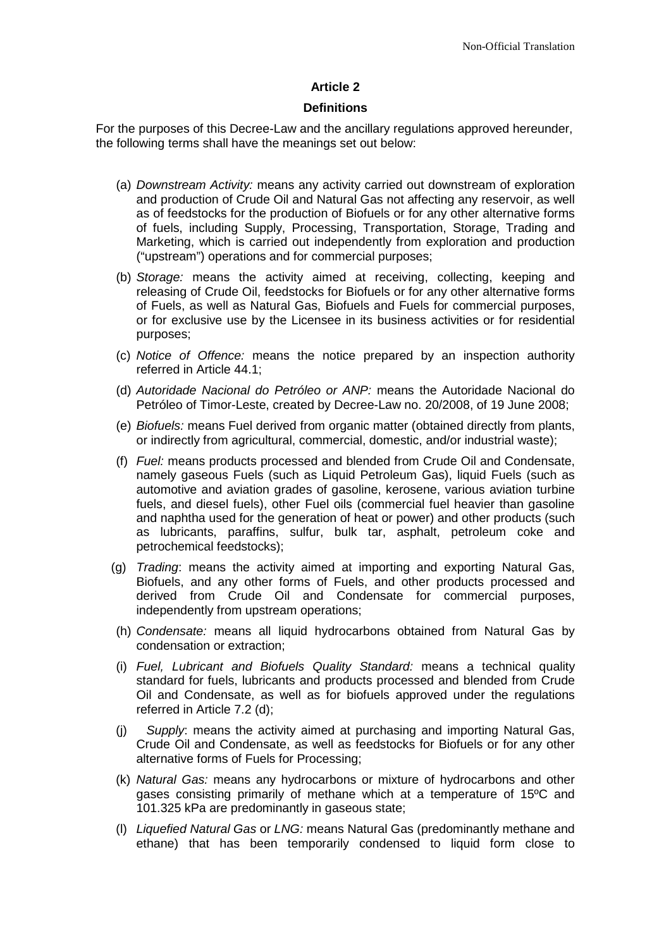#### **Definitions**

For the purposes of this Decree-Law and the ancillary regulations approved hereunder, the following terms shall have the meanings set out below:

- (a) *Downstream Activity:* means any activity carried out downstream of exploration and production of Crude Oil and Natural Gas not affecting any reservoir, as well as of feedstocks for the production of Biofuels or for any other alternative forms of fuels, including Supply, Processing, Transportation, Storage, Trading and Marketing, which is carried out independently from exploration and production ("upstream") operations and for commercial purposes;
- (b) *Storage:* means the activity aimed at receiving, collecting, keeping and releasing of Crude Oil, feedstocks for Biofuels or for any other alternative forms of Fuels, as well as Natural Gas, Biofuels and Fuels for commercial purposes, or for exclusive use by the Licensee in its business activities or for residential purposes;
- (c) *Notice of Offence:* means the notice prepared by an inspection authority referred in Article 44.1;
- (d) *Autoridade Nacional do Petróleo or ANP:* means the Autoridade Nacional do Petróleo of Timor-Leste, created by Decree-Law no. 20/2008, of 19 June 2008;
- (e) *Biofuels:* means Fuel derived from organic matter (obtained directly from plants, or indirectly from agricultural, commercial, domestic, and/or industrial waste);
- (f) *Fuel:* means products processed and blended from Crude Oil and Condensate, namely gaseous Fuels (such as Liquid Petroleum Gas), liquid Fuels (such as automotive and aviation grades of gasoline, kerosene, various aviation turbine fuels, and diesel fuels), other Fuel oils (commercial fuel heavier than gasoline and naphtha used for the generation of heat or power) and other products (such as lubricants, paraffins, sulfur, bulk tar, asphalt, petroleum coke and petrochemical feedstocks);
- (g) *Trading*: means the activity aimed at importing and exporting Natural Gas, Biofuels, and any other forms of Fuels, and other products processed and derived from Crude Oil and Condensate for commercial purposes, independently from upstream operations;
- (h) *Condensate:* means all liquid hydrocarbons obtained from Natural Gas by condensation or extraction;
- (i) *Fuel, Lubricant and Biofuels Quality Standard:* means a technical quality standard for fuels, lubricants and products processed and blended from Crude Oil and Condensate, as well as for biofuels approved under the regulations referred in Article 7.2 (d);
- (j) *Supply*: means the activity aimed at purchasing and importing Natural Gas, Crude Oil and Condensate, as well as feedstocks for Biofuels or for any other alternative forms of Fuels for Processing;
- (k) *Natural Gas:* means any hydrocarbons or mixture of hydrocarbons and other gases consisting primarily of methane which at a temperature of 15ºC and 101.325 kPa are predominantly in gaseous state;
- (l) *Liquefied Natural Gas* or *LNG:* means Natural Gas (predominantly methane and ethane) that has been temporarily condensed to liquid form close to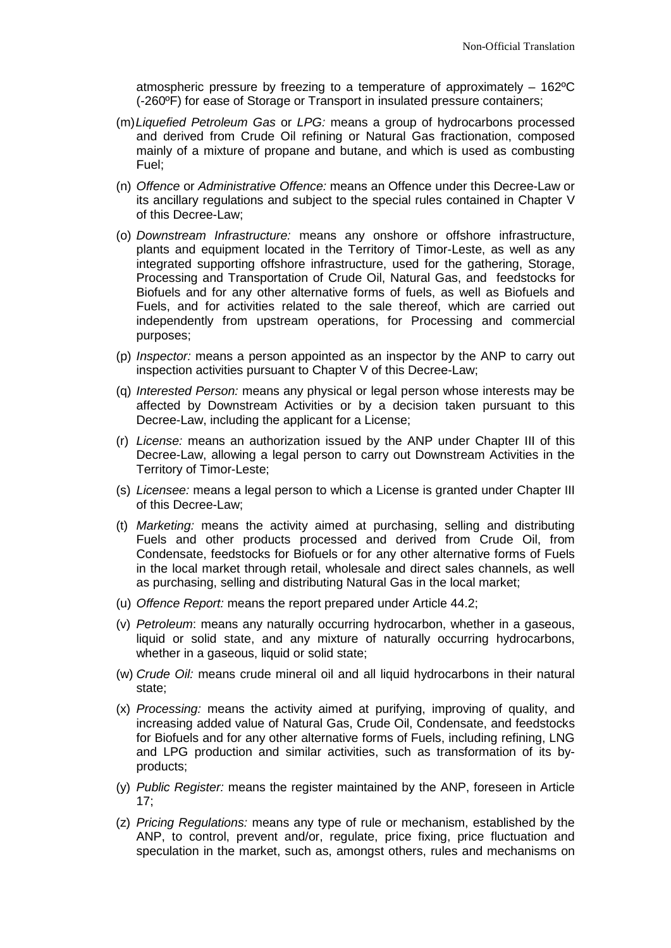atmospheric pressure by freezing to a temperature of approximately – 162ºC (-260ºF) for ease of Storage or Transport in insulated pressure containers;

- (m)*Liquefied Petroleum Gas* or *LPG:* means a group of hydrocarbons processed and derived from Crude Oil refining or Natural Gas fractionation, composed mainly of a mixture of propane and butane, and which is used as combusting Fuel;
- (n) *Offence* or *Administrative Offence:* means an Offence under this Decree-Law or its ancillary regulations and subject to the special rules contained in Chapter V of this Decree-Law;
- (o) *Downstream Infrastructure:* means any onshore or offshore infrastructure, plants and equipment located in the Territory of Timor-Leste, as well as any integrated supporting offshore infrastructure, used for the gathering, Storage, Processing and Transportation of Crude Oil, Natural Gas, and feedstocks for Biofuels and for any other alternative forms of fuels, as well as Biofuels and Fuels, and for activities related to the sale thereof, which are carried out independently from upstream operations, for Processing and commercial purposes;
- (p) *Inspector:* means a person appointed as an inspector by the ANP to carry out inspection activities pursuant to Chapter V of this Decree-Law;
- (q) *Interested Person:* means any physical or legal person whose interests may be affected by Downstream Activities or by a decision taken pursuant to this Decree-Law, including the applicant for a License;
- (r) *License:* means an authorization issued by the ANP under Chapter III of this Decree-Law, allowing a legal person to carry out Downstream Activities in the Territory of Timor-Leste;
- (s) *Licensee:* means a legal person to which a License is granted under Chapter III of this Decree-Law;
- (t) *Marketing:* means the activity aimed at purchasing, selling and distributing Fuels and other products processed and derived from Crude Oil, from Condensate, feedstocks for Biofuels or for any other alternative forms of Fuels in the local market through retail, wholesale and direct sales channels, as well as purchasing, selling and distributing Natural Gas in the local market;
- (u) *Offence Report:* means the report prepared under Article 44.2;
- (v) *Petroleum*: means any naturally occurring hydrocarbon, whether in a gaseous, liquid or solid state, and any mixture of naturally occurring hydrocarbons, whether in a gaseous, liquid or solid state;
- (w) *Crude Oil:* means crude mineral oil and all liquid hydrocarbons in their natural state;
- (x) *Processing:* means the activity aimed at purifying, improving of quality, and increasing added value of Natural Gas, Crude Oil, Condensate, and feedstocks for Biofuels and for any other alternative forms of Fuels, including refining, LNG and LPG production and similar activities, such as transformation of its byproducts;
- (y) *Public Register:* means the register maintained by the ANP, foreseen in Article 17;
- (z) *Pricing Regulations:* means any type of rule or mechanism, established by the ANP, to control, prevent and/or, regulate, price fixing, price fluctuation and speculation in the market, such as, amongst others, rules and mechanisms on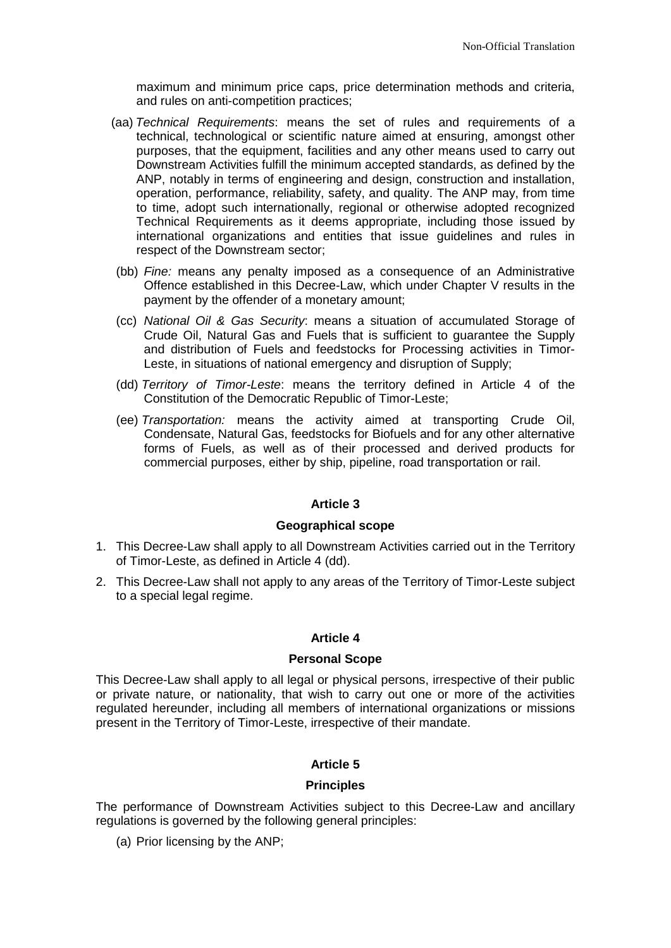maximum and minimum price caps, price determination methods and criteria, and rules on anti-competition practices;

- (aa) *Technical Requirements*: means the set of rules and requirements of a technical, technological or scientific nature aimed at ensuring, amongst other purposes, that the equipment, facilities and any other means used to carry out Downstream Activities fulfill the minimum accepted standards, as defined by the ANP, notably in terms of engineering and design, construction and installation, operation, performance, reliability, safety, and quality. The ANP may, from time to time, adopt such internationally, regional or otherwise adopted recognized Technical Requirements as it deems appropriate, including those issued by international organizations and entities that issue guidelines and rules in respect of the Downstream sector;
- (bb) *Fine:* means any penalty imposed as a consequence of an Administrative Offence established in this Decree-Law, which under Chapter V results in the payment by the offender of a monetary amount;
- (cc) *National Oil & Gas Security*: means a situation of accumulated Storage of Crude Oil, Natural Gas and Fuels that is sufficient to guarantee the Supply and distribution of Fuels and feedstocks for Processing activities in Timor-Leste, in situations of national emergency and disruption of Supply;
- (dd) *Territory of Timor-Leste*: means the territory defined in Article 4 of the Constitution of the Democratic Republic of Timor-Leste;
- (ee) *Transportation:* means the activity aimed at transporting Crude Oil, Condensate, Natural Gas, feedstocks for Biofuels and for any other alternative forms of Fuels, as well as of their processed and derived products for commercial purposes, either by ship, pipeline, road transportation or rail.

## **Article 3**

#### **Geographical scope**

- 1. This Decree-Law shall apply to all Downstream Activities carried out in the Territory of Timor-Leste, as defined in Article 4 (dd).
- 2. This Decree-Law shall not apply to any areas of the Territory of Timor-Leste subject to a special legal regime.

## **Article 4**

#### **Personal Scope**

This Decree-Law shall apply to all legal or physical persons, irrespective of their public or private nature, or nationality, that wish to carry out one or more of the activities regulated hereunder, including all members of international organizations or missions present in the Territory of Timor-Leste, irrespective of their mandate.

# **Article 5**

#### **Principles**

The performance of Downstream Activities subject to this Decree-Law and ancillary regulations is governed by the following general principles:

(a) Prior licensing by the ANP;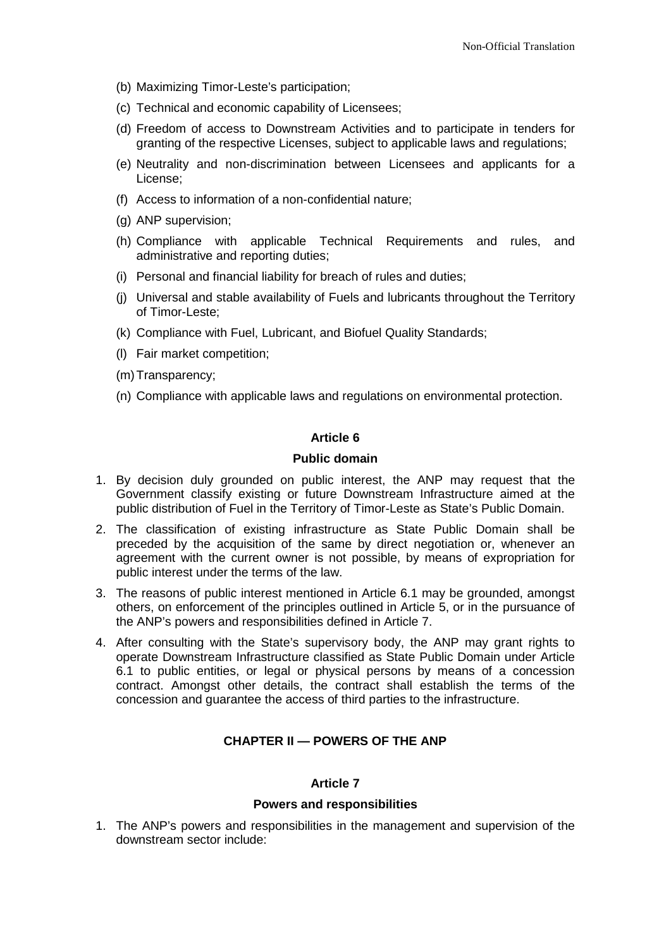- (b) Maximizing Timor-Leste's participation;
- (c) Technical and economic capability of Licensees;
- (d) Freedom of access to Downstream Activities and to participate in tenders for granting of the respective Licenses, subject to applicable laws and regulations;
- (e) Neutrality and non-discrimination between Licensees and applicants for a License;
- (f) Access to information of a non-confidential nature;
- (g) ANP supervision;
- (h) Compliance with applicable Technical Requirements and rules, and administrative and reporting duties;
- (i) Personal and financial liability for breach of rules and duties;
- (j) Universal and stable availability of Fuels and lubricants throughout the Territory of Timor-Leste;
- (k) Compliance with Fuel, Lubricant, and Biofuel Quality Standards;
- (l) Fair market competition;
- (m) Transparency;
- (n) Compliance with applicable laws and regulations on environmental protection.

#### **Public domain**

- 1. By decision duly grounded on public interest, the ANP may request that the Government classify existing or future Downstream Infrastructure aimed at the public distribution of Fuel in the Territory of Timor-Leste as State's Public Domain.
- 2. The classification of existing infrastructure as State Public Domain shall be preceded by the acquisition of the same by direct negotiation or, whenever an agreement with the current owner is not possible, by means of expropriation for public interest under the terms of the law.
- 3. The reasons of public interest mentioned in Article 6.1 may be grounded, amongst others, on enforcement of the principles outlined in Article 5, or in the pursuance of the ANP's powers and responsibilities defined in Article 7.
- 4. After consulting with the State's supervisory body, the ANP may grant rights to operate Downstream Infrastructure classified as State Public Domain under Article 6.1 to public entities, or legal or physical persons by means of a concession contract. Amongst other details, the contract shall establish the terms of the concession and guarantee the access of third parties to the infrastructure.

## **CHAPTER II — POWERS OF THE ANP**

# **Article 7**

#### **Powers and responsibilities**

1. The ANP's powers and responsibilities in the management and supervision of the downstream sector include: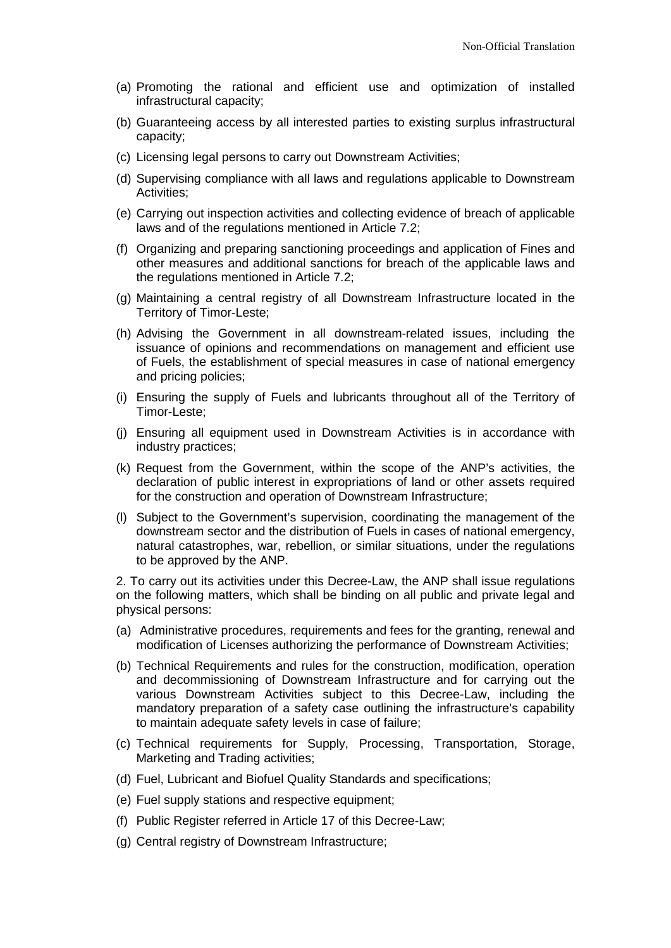- (a) Promoting the rational and efficient use and optimization of installed infrastructural capacity;
- (b) Guaranteeing access by all interested parties to existing surplus infrastructural capacity;
- (c) Licensing legal persons to carry out Downstream Activities;
- (d) Supervising compliance with all laws and regulations applicable to Downstream Activities;
- (e) Carrying out inspection activities and collecting evidence of breach of applicable laws and of the regulations mentioned in Article 7.2;
- (f) Organizing and preparing sanctioning proceedings and application of Fines and other measures and additional sanctions for breach of the applicable laws and the regulations mentioned in Article 7.2;
- (g) Maintaining a central registry of all Downstream Infrastructure located in the Territory of Timor-Leste;
- (h) Advising the Government in all downstream-related issues, including the issuance of opinions and recommendations on management and efficient use of Fuels, the establishment of special measures in case of national emergency and pricing policies;
- (i) Ensuring the supply of Fuels and lubricants throughout all of the Territory of Timor-Leste;
- (j) Ensuring all equipment used in Downstream Activities is in accordance with industry practices;
- (k) Request from the Government, within the scope of the ANP's activities, the declaration of public interest in expropriations of land or other assets required for the construction and operation of Downstream Infrastructure;
- (l) Subject to the Government's supervision, coordinating the management of the downstream sector and the distribution of Fuels in cases of national emergency, natural catastrophes, war, rebellion, or similar situations, under the regulations to be approved by the ANP.

2. To carry out its activities under this Decree-Law, the ANP shall issue regulations on the following matters, which shall be binding on all public and private legal and physical persons:

- (a) Administrative procedures, requirements and fees for the granting, renewal and modification of Licenses authorizing the performance of Downstream Activities;
- (b) Technical Requirements and rules for the construction, modification, operation and decommissioning of Downstream Infrastructure and for carrying out the various Downstream Activities subject to this Decree-Law, including the mandatory preparation of a safety case outlining the infrastructure's capability to maintain adequate safety levels in case of failure;
- (c) Technical requirements for Supply, Processing, Transportation, Storage, Marketing and Trading activities;
- (d) Fuel, Lubricant and Biofuel Quality Standards and specifications;
- (e) Fuel supply stations and respective equipment;
- (f) Public Register referred in Article 17 of this Decree-Law;
- (g) Central registry of Downstream Infrastructure;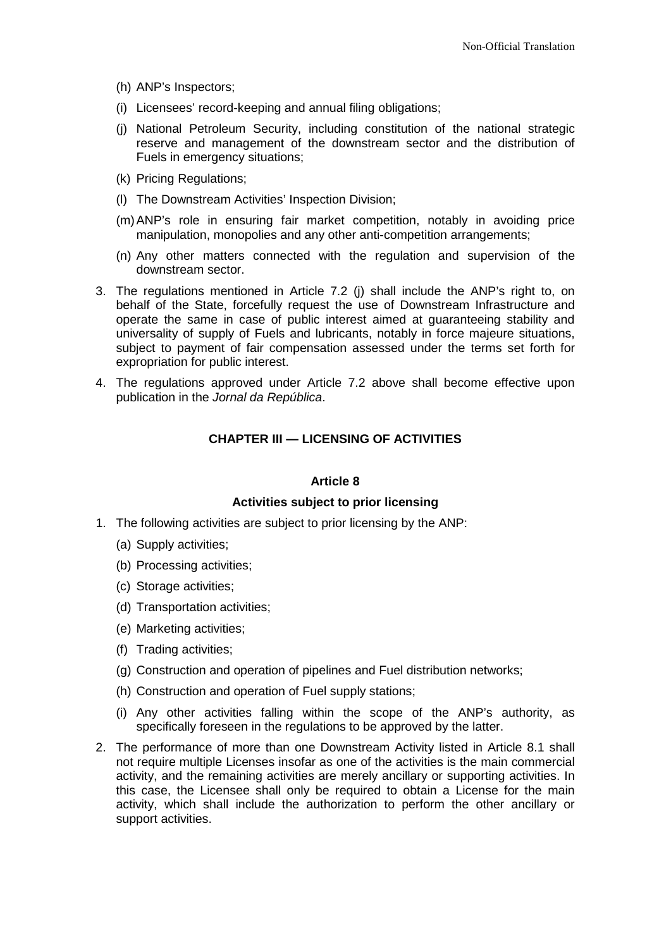- (h) ANP's Inspectors;
- (i) Licensees' record-keeping and annual filing obligations;
- (j) National Petroleum Security, including constitution of the national strategic reserve and management of the downstream sector and the distribution of Fuels in emergency situations;
- (k) Pricing Regulations;
- (l) The Downstream Activities' Inspection Division;
- (m)ANP's role in ensuring fair market competition, notably in avoiding price manipulation, monopolies and any other anti-competition arrangements;
- (n) Any other matters connected with the regulation and supervision of the downstream sector.
- 3. The regulations mentioned in Article 7.2 (j) shall include the ANP's right to, on behalf of the State, forcefully request the use of Downstream Infrastructure and operate the same in case of public interest aimed at guaranteeing stability and universality of supply of Fuels and lubricants, notably in force majeure situations, subject to payment of fair compensation assessed under the terms set forth for expropriation for public interest.
- 4. The regulations approved under Article 7.2 above shall become effective upon publication in the *Jornal da República*.

## **CHAPTER III — LICENSING OF ACTIVITIES**

#### **Article 8**

#### **Activities subject to prior licensing**

- 1. The following activities are subject to prior licensing by the ANP:
	- (a) Supply activities;
	- (b) Processing activities;
	- (c) Storage activities;
	- (d) Transportation activities;
	- (e) Marketing activities;
	- (f) Trading activities;
	- (g) Construction and operation of pipelines and Fuel distribution networks;
	- (h) Construction and operation of Fuel supply stations;
	- (i) Any other activities falling within the scope of the ANP's authority, as specifically foreseen in the regulations to be approved by the latter.
- 2. The performance of more than one Downstream Activity listed in Article 8.1 shall not require multiple Licenses insofar as one of the activities is the main commercial activity, and the remaining activities are merely ancillary or supporting activities. In this case, the Licensee shall only be required to obtain a License for the main activity, which shall include the authorization to perform the other ancillary or support activities.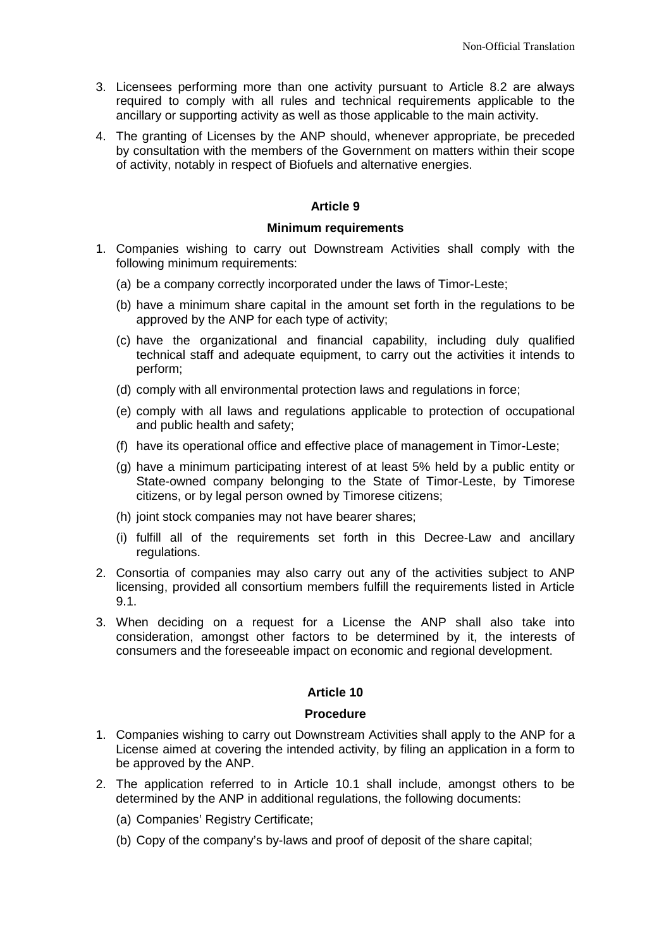- 3. Licensees performing more than one activity pursuant to Article 8.2 are always required to comply with all rules and technical requirements applicable to the ancillary or supporting activity as well as those applicable to the main activity.
- 4. The granting of Licenses by the ANP should, whenever appropriate, be preceded by consultation with the members of the Government on matters within their scope of activity, notably in respect of Biofuels and alternative energies.

#### **Minimum requirements**

- 1. Companies wishing to carry out Downstream Activities shall comply with the following minimum requirements:
	- (a) be a company correctly incorporated under the laws of Timor-Leste;
	- (b) have a minimum share capital in the amount set forth in the regulations to be approved by the ANP for each type of activity;
	- (c) have the organizational and financial capability, including duly qualified technical staff and adequate equipment, to carry out the activities it intends to perform;
	- (d) comply with all environmental protection laws and regulations in force;
	- (e) comply with all laws and regulations applicable to protection of occupational and public health and safety;
	- (f) have its operational office and effective place of management in Timor-Leste;
	- (g) have a minimum participating interest of at least 5% held by a public entity or State-owned company belonging to the State of Timor-Leste, by Timorese citizens, or by legal person owned by Timorese citizens;
	- (h) joint stock companies may not have bearer shares;
	- (i) fulfill all of the requirements set forth in this Decree-Law and ancillary regulations.
- 2. Consortia of companies may also carry out any of the activities subject to ANP licensing, provided all consortium members fulfill the requirements listed in Article 9.1.
- 3. When deciding on a request for a License the ANP shall also take into consideration, amongst other factors to be determined by it, the interests of consumers and the foreseeable impact on economic and regional development.

# **Article 10**

## **Procedure**

- 1. Companies wishing to carry out Downstream Activities shall apply to the ANP for a License aimed at covering the intended activity, by filing an application in a form to be approved by the ANP.
- 2. The application referred to in Article 10.1 shall include, amongst others to be determined by the ANP in additional regulations, the following documents:
	- (a) Companies' Registry Certificate;
	- (b) Copy of the company's by-laws and proof of deposit of the share capital;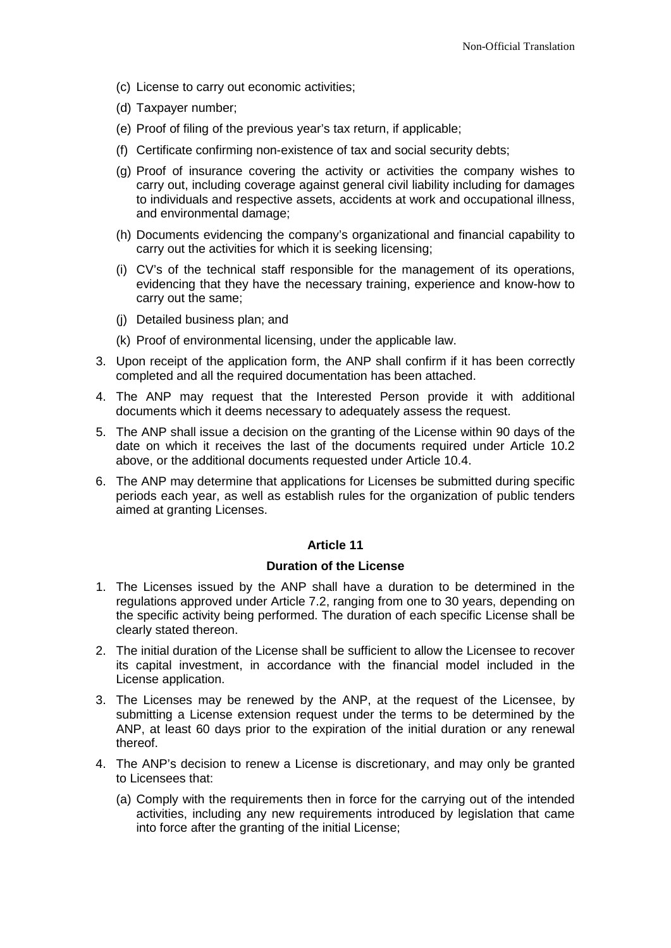- (c) License to carry out economic activities;
- (d) Taxpayer number;
- (e) Proof of filing of the previous year's tax return, if applicable;
- (f) Certificate confirming non-existence of tax and social security debts;
- (g) Proof of insurance covering the activity or activities the company wishes to carry out, including coverage against general civil liability including for damages to individuals and respective assets, accidents at work and occupational illness, and environmental damage;
- (h) Documents evidencing the company's organizational and financial capability to carry out the activities for which it is seeking licensing;
- (i) CV's of the technical staff responsible for the management of its operations, evidencing that they have the necessary training, experience and know-how to carry out the same;
- (j) Detailed business plan; and
- (k) Proof of environmental licensing, under the applicable law.
- 3. Upon receipt of the application form, the ANP shall confirm if it has been correctly completed and all the required documentation has been attached.
- 4. The ANP may request that the Interested Person provide it with additional documents which it deems necessary to adequately assess the request.
- 5. The ANP shall issue a decision on the granting of the License within 90 days of the date on which it receives the last of the documents required under Article 10.2 above, or the additional documents requested under Article 10.4.
- 6. The ANP may determine that applications for Licenses be submitted during specific periods each year, as well as establish rules for the organization of public tenders aimed at granting Licenses.

#### **Duration of the License**

- 1. The Licenses issued by the ANP shall have a duration to be determined in the regulations approved under Article 7.2, ranging from one to 30 years, depending on the specific activity being performed. The duration of each specific License shall be clearly stated thereon.
- 2. The initial duration of the License shall be sufficient to allow the Licensee to recover its capital investment, in accordance with the financial model included in the License application.
- 3. The Licenses may be renewed by the ANP, at the request of the Licensee, by submitting a License extension request under the terms to be determined by the ANP, at least 60 days prior to the expiration of the initial duration or any renewal thereof.
- 4. The ANP's decision to renew a License is discretionary, and may only be granted to Licensees that:
	- (a) Comply with the requirements then in force for the carrying out of the intended activities, including any new requirements introduced by legislation that came into force after the granting of the initial License;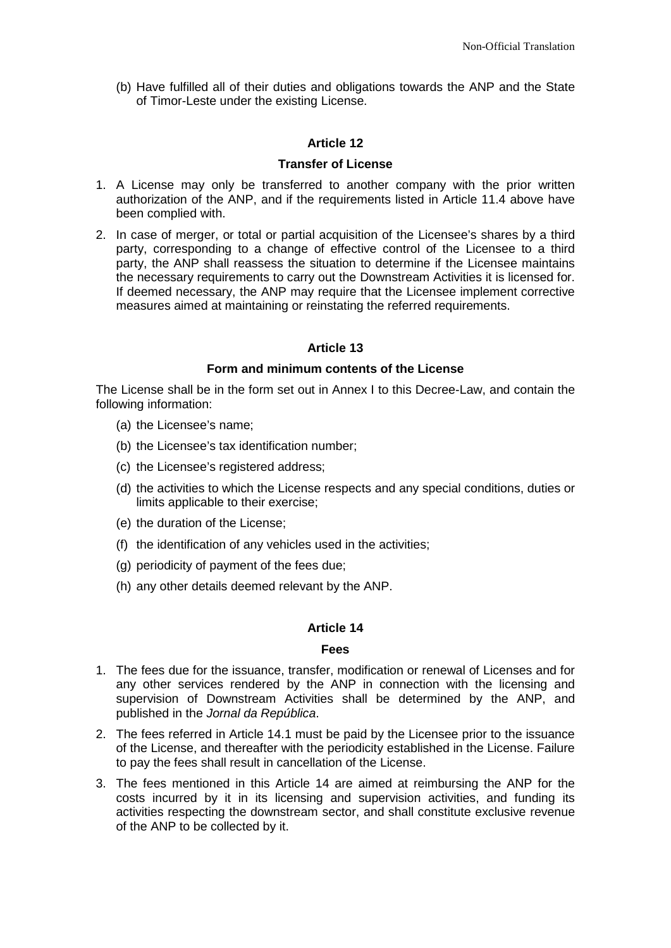(b) Have fulfilled all of their duties and obligations towards the ANP and the State of Timor-Leste under the existing License.

# **Article 12**

#### **Transfer of License**

- 1. A License may only be transferred to another company with the prior written authorization of the ANP, and if the requirements listed in Article 11.4 above have been complied with.
- 2. In case of merger, or total or partial acquisition of the Licensee's shares by a third party, corresponding to a change of effective control of the Licensee to a third party, the ANP shall reassess the situation to determine if the Licensee maintains the necessary requirements to carry out the Downstream Activities it is licensed for. If deemed necessary, the ANP may require that the Licensee implement corrective measures aimed at maintaining or reinstating the referred requirements.

## **Article 13**

#### **Form and minimum contents of the License**

The License shall be in the form set out in Annex I to this Decree-Law, and contain the following information:

- (a) the Licensee's name;
- (b) the Licensee's tax identification number;
- (c) the Licensee's registered address;
- (d) the activities to which the License respects and any special conditions, duties or limits applicable to their exercise;
- (e) the duration of the License;
- (f) the identification of any vehicles used in the activities;
- (g) periodicity of payment of the fees due;
- (h) any other details deemed relevant by the ANP.

## **Article 14**

#### **Fees**

- 1. The fees due for the issuance, transfer, modification or renewal of Licenses and for any other services rendered by the ANP in connection with the licensing and supervision of Downstream Activities shall be determined by the ANP, and published in the *Jornal da República*.
- 2. The fees referred in Article 14.1 must be paid by the Licensee prior to the issuance of the License, and thereafter with the periodicity established in the License. Failure to pay the fees shall result in cancellation of the License.
- 3. The fees mentioned in this Article 14 are aimed at reimbursing the ANP for the costs incurred by it in its licensing and supervision activities, and funding its activities respecting the downstream sector, and shall constitute exclusive revenue of the ANP to be collected by it.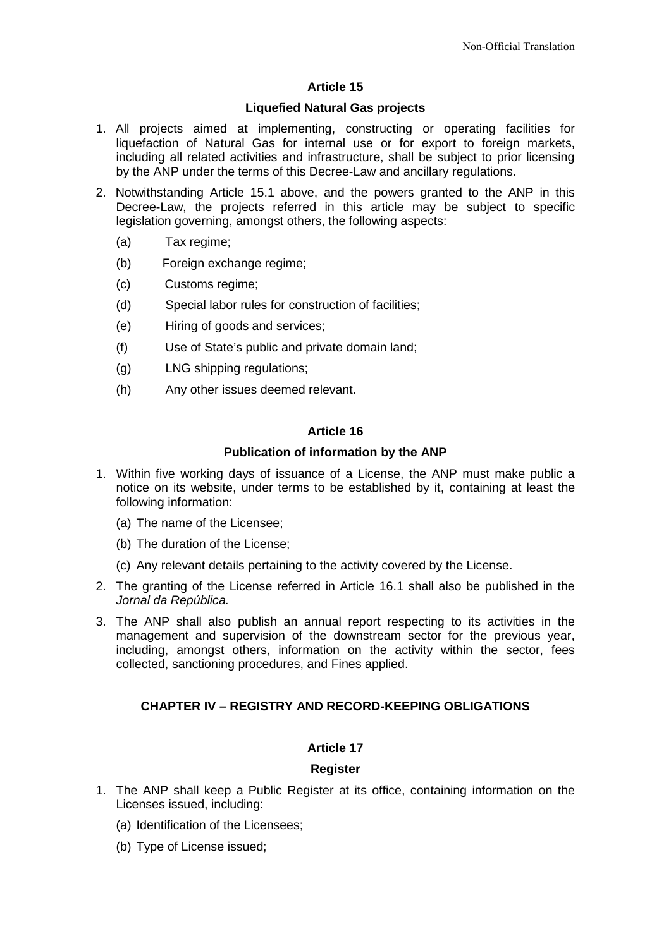#### **Liquefied Natural Gas projects**

- 1. All projects aimed at implementing, constructing or operating facilities for liquefaction of Natural Gas for internal use or for export to foreign markets, including all related activities and infrastructure, shall be subject to prior licensing by the ANP under the terms of this Decree-Law and ancillary regulations.
- 2. Notwithstanding Article 15.1 above, and the powers granted to the ANP in this Decree-Law, the projects referred in this article may be subject to specific legislation governing, amongst others, the following aspects:
	- (a) Tax regime;
	- (b) Foreign exchange regime;
	- (c) Customs regime;
	- (d) Special labor rules for construction of facilities;
	- (e) Hiring of goods and services;
	- (f) Use of State's public and private domain land;
	- (g) LNG shipping regulations;
	- (h) Any other issues deemed relevant.

## **Article 16**

#### **Publication of information by the ANP**

- 1. Within five working days of issuance of a License, the ANP must make public a notice on its website, under terms to be established by it, containing at least the following information:
	- (a) The name of the Licensee;
	- (b) The duration of the License;
	- (c) Any relevant details pertaining to the activity covered by the License.
- 2. The granting of the License referred in Article 16.1 shall also be published in the *Jornal da República.*
- 3. The ANP shall also publish an annual report respecting to its activities in the management and supervision of the downstream sector for the previous year, including, amongst others, information on the activity within the sector, fees collected, sanctioning procedures, and Fines applied.

## **CHAPTER IV – REGISTRY AND RECORD-KEEPING OBLIGATIONS**

## **Article 17**

## **Register**

- 1. The ANP shall keep a Public Register at its office, containing information on the Licenses issued, including:
	- (a) Identification of the Licensees;
	- (b) Type of License issued;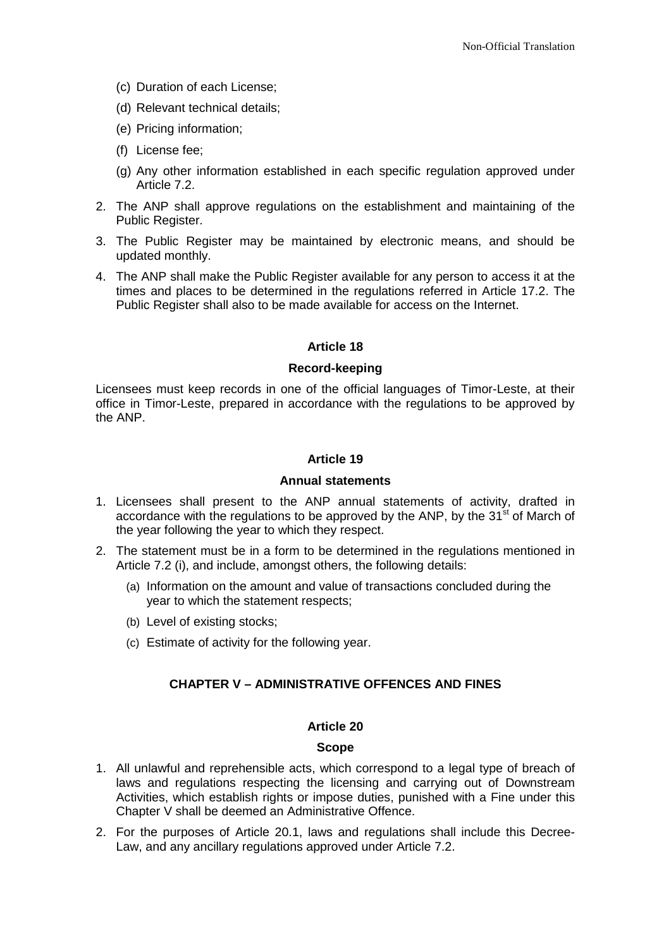- (c) Duration of each License;
- (d) Relevant technical details;
- (e) Pricing information;
- (f) License fee;
- (g) Any other information established in each specific regulation approved under Article 7.2.
- 2. The ANP shall approve regulations on the establishment and maintaining of the Public Register.
- 3. The Public Register may be maintained by electronic means, and should be updated monthly.
- 4. The ANP shall make the Public Register available for any person to access it at the times and places to be determined in the regulations referred in Article 17.2. The Public Register shall also to be made available for access on the Internet.

#### **Record-keeping**

Licensees must keep records in one of the official languages of Timor-Leste, at their office in Timor-Leste, prepared in accordance with the regulations to be approved by the ANP.

#### **Article 19**

#### **Annual statements**

- 1. Licensees shall present to the ANP annual statements of activity, drafted in accordance with the regulations to be approved by the ANP, by the  $31<sup>st</sup>$  of March of the year following the year to which they respect.
- 2. The statement must be in a form to be determined in the regulations mentioned in Article 7.2 (i), and include, amongst others, the following details:
	- (a) Information on the amount and value of transactions concluded during the year to which the statement respects;
	- (b) Level of existing stocks;
	- (c) Estimate of activity for the following year.

## **CHAPTER V – ADMINISTRATIVE OFFENCES AND FINES**

#### **Article 20**

#### **Scope**

- 1. All unlawful and reprehensible acts, which correspond to a legal type of breach of laws and regulations respecting the licensing and carrying out of Downstream Activities, which establish rights or impose duties, punished with a Fine under this Chapter V shall be deemed an Administrative Offence.
- 2. For the purposes of Article 20.1, laws and regulations shall include this Decree-Law, and any ancillary regulations approved under Article 7.2.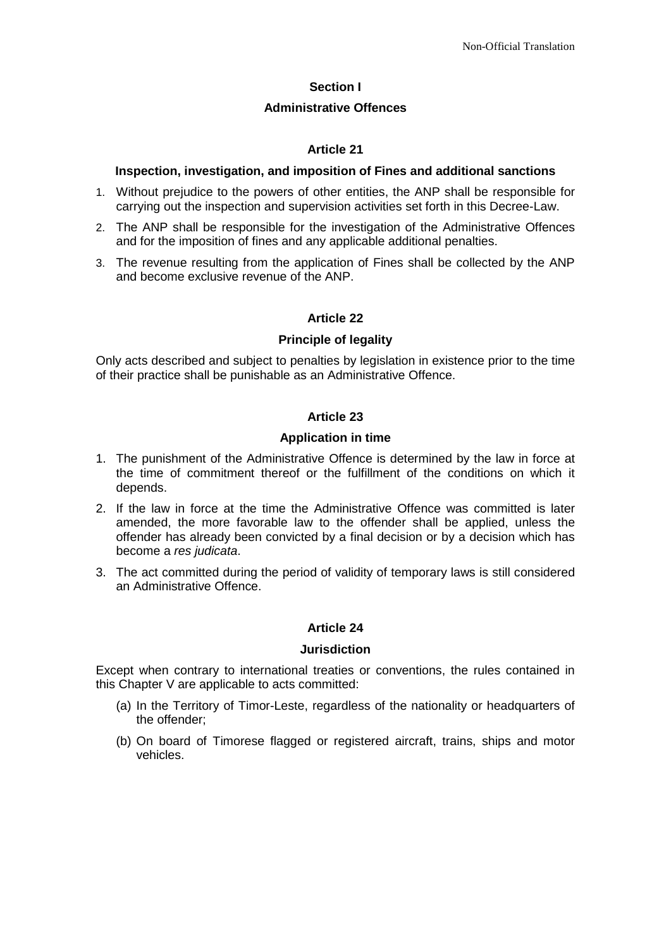# **Section I**

#### **Administrative Offences**

# **Article 21**

#### **Inspection, investigation, and imposition of Fines and additional sanctions**

- 1. Without prejudice to the powers of other entities, the ANP shall be responsible for carrying out the inspection and supervision activities set forth in this Decree-Law.
- 2. The ANP shall be responsible for the investigation of the Administrative Offences and for the imposition of fines and any applicable additional penalties.
- 3. The revenue resulting from the application of Fines shall be collected by the ANP and become exclusive revenue of the ANP.

## **Article 22**

## **Principle of legality**

Only acts described and subject to penalties by legislation in existence prior to the time of their practice shall be punishable as an Administrative Offence.

# **Article 23**

## **Application in time**

- 1. The punishment of the Administrative Offence is determined by the law in force at the time of commitment thereof or the fulfillment of the conditions on which it depends.
- 2. If the law in force at the time the Administrative Offence was committed is later amended, the more favorable law to the offender shall be applied, unless the offender has already been convicted by a final decision or by a decision which has become a *res judicata*.
- 3. The act committed during the period of validity of temporary laws is still considered an Administrative Offence.

## **Article 24**

## **Jurisdiction**

Except when contrary to international treaties or conventions, the rules contained in this Chapter V are applicable to acts committed:

- (a) In the Territory of Timor-Leste, regardless of the nationality or headquarters of the offender;
- (b) On board of Timorese flagged or registered aircraft, trains, ships and motor vehicles.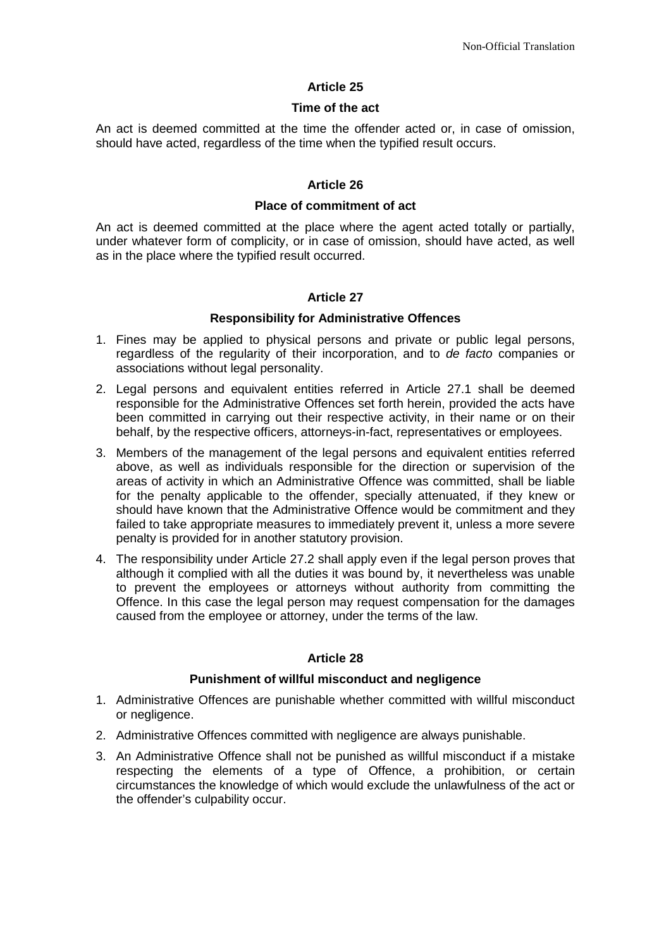#### **Time of the act**

An act is deemed committed at the time the offender acted or, in case of omission, should have acted, regardless of the time when the typified result occurs.

## **Article 26**

#### **Place of commitment of act**

An act is deemed committed at the place where the agent acted totally or partially, under whatever form of complicity, or in case of omission, should have acted, as well as in the place where the typified result occurred.

# **Article 27**

#### **Responsibility for Administrative Offences**

- 1. Fines may be applied to physical persons and private or public legal persons, regardless of the regularity of their incorporation, and to *de facto* companies or associations without legal personality.
- 2. Legal persons and equivalent entities referred in Article 27.1 shall be deemed responsible for the Administrative Offences set forth herein, provided the acts have been committed in carrying out their respective activity, in their name or on their behalf, by the respective officers, attorneys-in-fact, representatives or employees.
- 3. Members of the management of the legal persons and equivalent entities referred above, as well as individuals responsible for the direction or supervision of the areas of activity in which an Administrative Offence was committed, shall be liable for the penalty applicable to the offender, specially attenuated, if they knew or should have known that the Administrative Offence would be commitment and they failed to take appropriate measures to immediately prevent it, unless a more severe penalty is provided for in another statutory provision.
- 4. The responsibility under Article 27.2 shall apply even if the legal person proves that although it complied with all the duties it was bound by, it nevertheless was unable to prevent the employees or attorneys without authority from committing the Offence. In this case the legal person may request compensation for the damages caused from the employee or attorney, under the terms of the law.

## **Article 28**

## **Punishment of willful misconduct and negligence**

- 1. Administrative Offences are punishable whether committed with willful misconduct or negligence.
- 2. Administrative Offences committed with negligence are always punishable.
- 3. An Administrative Offence shall not be punished as willful misconduct if a mistake respecting the elements of a type of Offence, a prohibition, or certain circumstances the knowledge of which would exclude the unlawfulness of the act or the offender's culpability occur.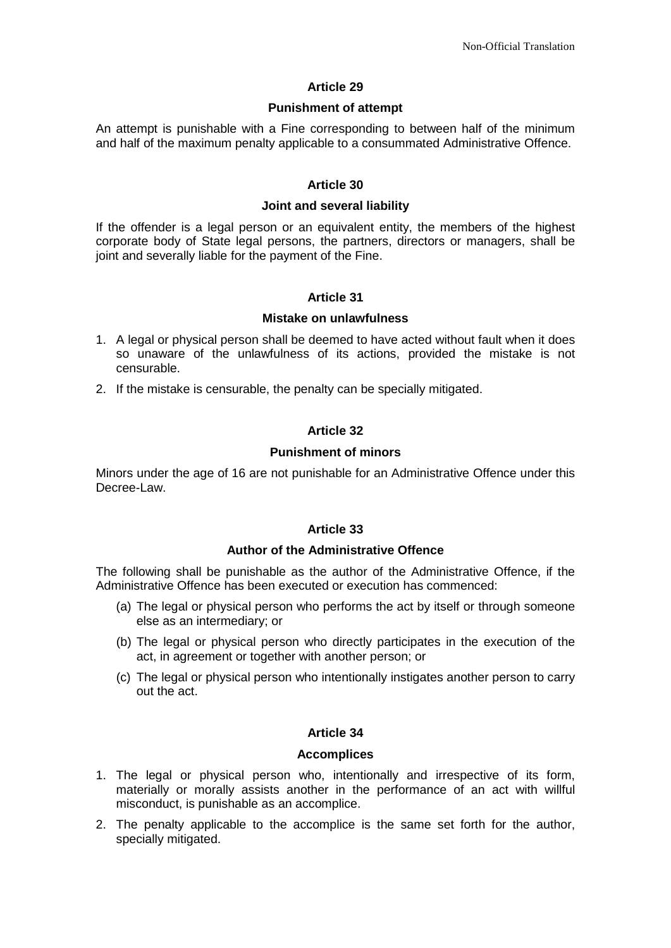#### **Punishment of attempt**

An attempt is punishable with a Fine corresponding to between half of the minimum and half of the maximum penalty applicable to a consummated Administrative Offence.

## **Article 30**

#### **Joint and several liability**

If the offender is a legal person or an equivalent entity, the members of the highest corporate body of State legal persons, the partners, directors or managers, shall be joint and severally liable for the payment of the Fine.

## **Article 31**

#### **Mistake on unlawfulness**

- 1. A legal or physical person shall be deemed to have acted without fault when it does so unaware of the unlawfulness of its actions, provided the mistake is not censurable.
- 2. If the mistake is censurable, the penalty can be specially mitigated.

## **Article 32**

#### **Punishment of minors**

Minors under the age of 16 are not punishable for an Administrative Offence under this Decree-Law.

## **Article 33**

#### **Author of the Administrative Offence**

The following shall be punishable as the author of the Administrative Offence, if the Administrative Offence has been executed or execution has commenced:

- (a) The legal or physical person who performs the act by itself or through someone else as an intermediary; or
- (b) The legal or physical person who directly participates in the execution of the act, in agreement or together with another person; or
- (c) The legal or physical person who intentionally instigates another person to carry out the act.

## **Article 34**

## **Accomplices**

- 1. The legal or physical person who, intentionally and irrespective of its form, materially or morally assists another in the performance of an act with willful misconduct, is punishable as an accomplice.
- 2. The penalty applicable to the accomplice is the same set forth for the author, specially mitigated.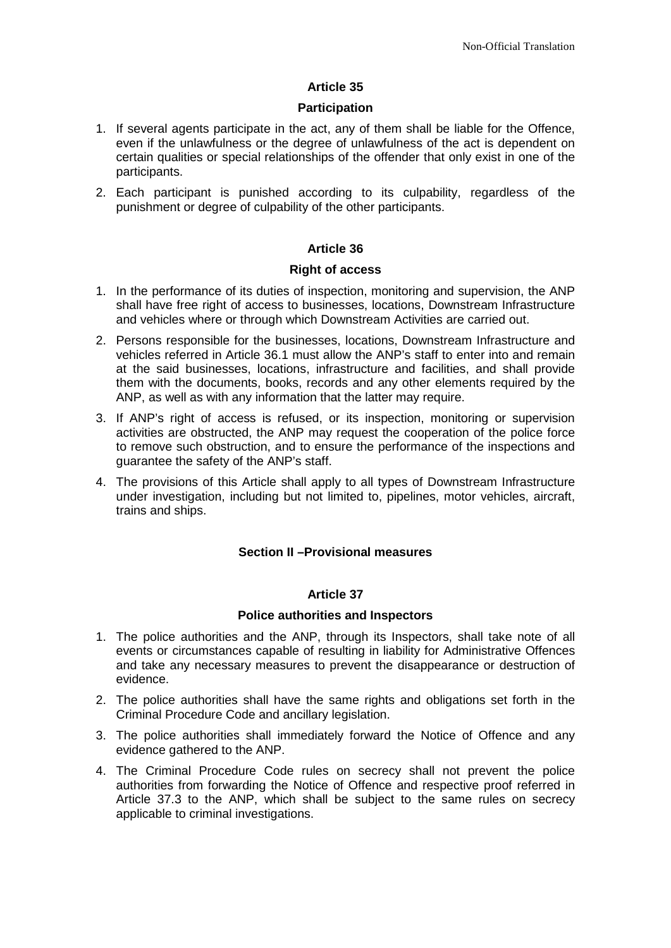#### **Participation**

- 1. If several agents participate in the act, any of them shall be liable for the Offence, even if the unlawfulness or the degree of unlawfulness of the act is dependent on certain qualities or special relationships of the offender that only exist in one of the participants.
- 2. Each participant is punished according to its culpability, regardless of the punishment or degree of culpability of the other participants.

## **Article 36**

## **Right of access**

- 1. In the performance of its duties of inspection, monitoring and supervision, the ANP shall have free right of access to businesses, locations, Downstream Infrastructure and vehicles where or through which Downstream Activities are carried out.
- 2. Persons responsible for the businesses, locations, Downstream Infrastructure and vehicles referred in Article 36.1 must allow the ANP's staff to enter into and remain at the said businesses, locations, infrastructure and facilities, and shall provide them with the documents, books, records and any other elements required by the ANP, as well as with any information that the latter may require.
- 3. If ANP's right of access is refused, or its inspection, monitoring or supervision activities are obstructed, the ANP may request the cooperation of the police force to remove such obstruction, and to ensure the performance of the inspections and guarantee the safety of the ANP's staff.
- 4. The provisions of this Article shall apply to all types of Downstream Infrastructure under investigation, including but not limited to, pipelines, motor vehicles, aircraft, trains and ships.

## **Section II –Provisional measures**

## **Article 37**

#### **Police authorities and Inspectors**

- 1. The police authorities and the ANP, through its Inspectors, shall take note of all events or circumstances capable of resulting in liability for Administrative Offences and take any necessary measures to prevent the disappearance or destruction of evidence.
- 2. The police authorities shall have the same rights and obligations set forth in the Criminal Procedure Code and ancillary legislation.
- 3. The police authorities shall immediately forward the Notice of Offence and any evidence gathered to the ANP.
- 4. The Criminal Procedure Code rules on secrecy shall not prevent the police authorities from forwarding the Notice of Offence and respective proof referred in Article 37.3 to the ANP, which shall be subject to the same rules on secrecy applicable to criminal investigations.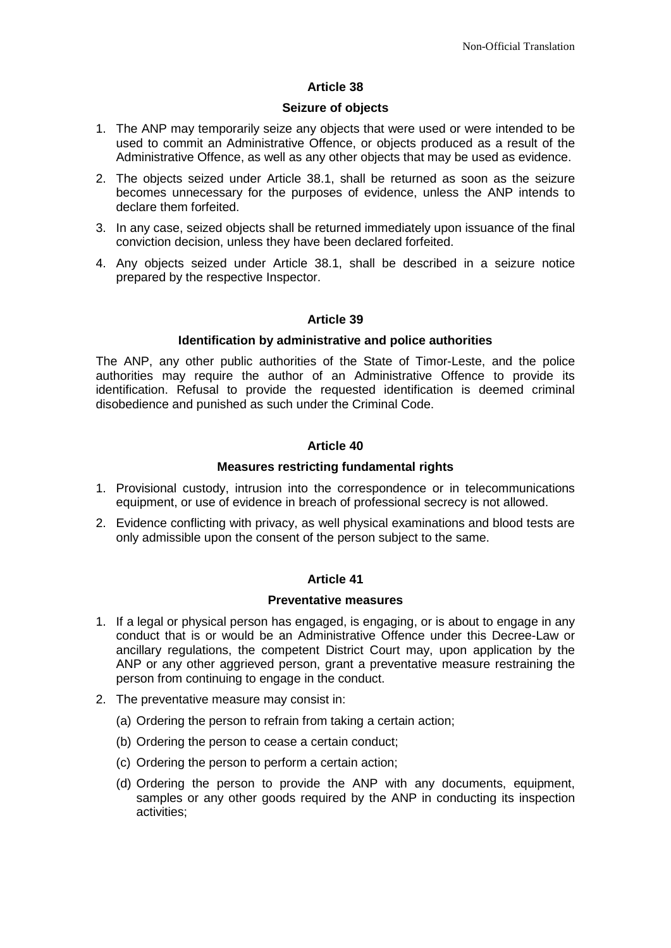#### **Seizure of objects**

- 1. The ANP may temporarily seize any objects that were used or were intended to be used to commit an Administrative Offence, or objects produced as a result of the Administrative Offence, as well as any other objects that may be used as evidence.
- 2. The objects seized under Article 38.1, shall be returned as soon as the seizure becomes unnecessary for the purposes of evidence, unless the ANP intends to declare them forfeited.
- 3. In any case, seized objects shall be returned immediately upon issuance of the final conviction decision, unless they have been declared forfeited.
- 4. Any objects seized under Article 38.1, shall be described in a seizure notice prepared by the respective Inspector.

## **Article 39**

#### **Identification by administrative and police authorities**

The ANP, any other public authorities of the State of Timor-Leste, and the police authorities may require the author of an Administrative Offence to provide its identification. Refusal to provide the requested identification is deemed criminal disobedience and punished as such under the Criminal Code.

## **Article 40**

#### **Measures restricting fundamental rights**

- 1. Provisional custody, intrusion into the correspondence or in telecommunications equipment, or use of evidence in breach of professional secrecy is not allowed.
- 2. Evidence conflicting with privacy, as well physical examinations and blood tests are only admissible upon the consent of the person subject to the same.

## **Article 41**

#### **Preventative measures**

- 1. If a legal or physical person has engaged, is engaging, or is about to engage in any conduct that is or would be an Administrative Offence under this Decree-Law or ancillary regulations, the competent District Court may, upon application by the ANP or any other aggrieved person, grant a preventative measure restraining the person from continuing to engage in the conduct.
- 2. The preventative measure may consist in:
	- (a) Ordering the person to refrain from taking a certain action;
	- (b) Ordering the person to cease a certain conduct;
	- (c) Ordering the person to perform a certain action;
	- (d) Ordering the person to provide the ANP with any documents, equipment, samples or any other goods required by the ANP in conducting its inspection activities;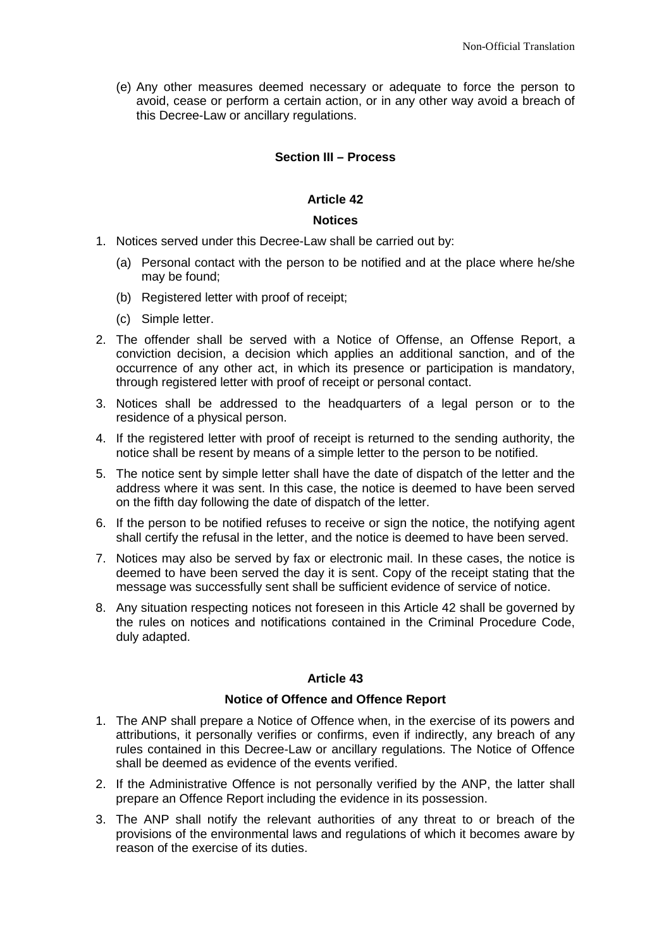(e) Any other measures deemed necessary or adequate to force the person to avoid, cease or perform a certain action, or in any other way avoid a breach of this Decree-Law or ancillary regulations.

# **Section III – Process**

# **Article 42**

#### **Notices**

- 1. Notices served under this Decree-Law shall be carried out by:
	- (a) Personal contact with the person to be notified and at the place where he/she may be found;
	- (b) Registered letter with proof of receipt;
	- (c) Simple letter.
- 2. The offender shall be served with a Notice of Offense, an Offense Report, a conviction decision, a decision which applies an additional sanction, and of the occurrence of any other act, in which its presence or participation is mandatory, through registered letter with proof of receipt or personal contact.
- 3. Notices shall be addressed to the headquarters of a legal person or to the residence of a physical person.
- 4. If the registered letter with proof of receipt is returned to the sending authority, the notice shall be resent by means of a simple letter to the person to be notified.
- 5. The notice sent by simple letter shall have the date of dispatch of the letter and the address where it was sent. In this case, the notice is deemed to have been served on the fifth day following the date of dispatch of the letter.
- 6. If the person to be notified refuses to receive or sign the notice, the notifying agent shall certify the refusal in the letter, and the notice is deemed to have been served.
- 7. Notices may also be served by fax or electronic mail. In these cases, the notice is deemed to have been served the day it is sent. Copy of the receipt stating that the message was successfully sent shall be sufficient evidence of service of notice.
- 8. Any situation respecting notices not foreseen in this Article 42 shall be governed by the rules on notices and notifications contained in the Criminal Procedure Code, duly adapted.

## **Article 43**

#### **Notice of Offence and Offence Report**

- 1. The ANP shall prepare a Notice of Offence when, in the exercise of its powers and attributions, it personally verifies or confirms, even if indirectly, any breach of any rules contained in this Decree-Law or ancillary regulations. The Notice of Offence shall be deemed as evidence of the events verified.
- 2. If the Administrative Offence is not personally verified by the ANP, the latter shall prepare an Offence Report including the evidence in its possession.
- 3. The ANP shall notify the relevant authorities of any threat to or breach of the provisions of the environmental laws and regulations of which it becomes aware by reason of the exercise of its duties.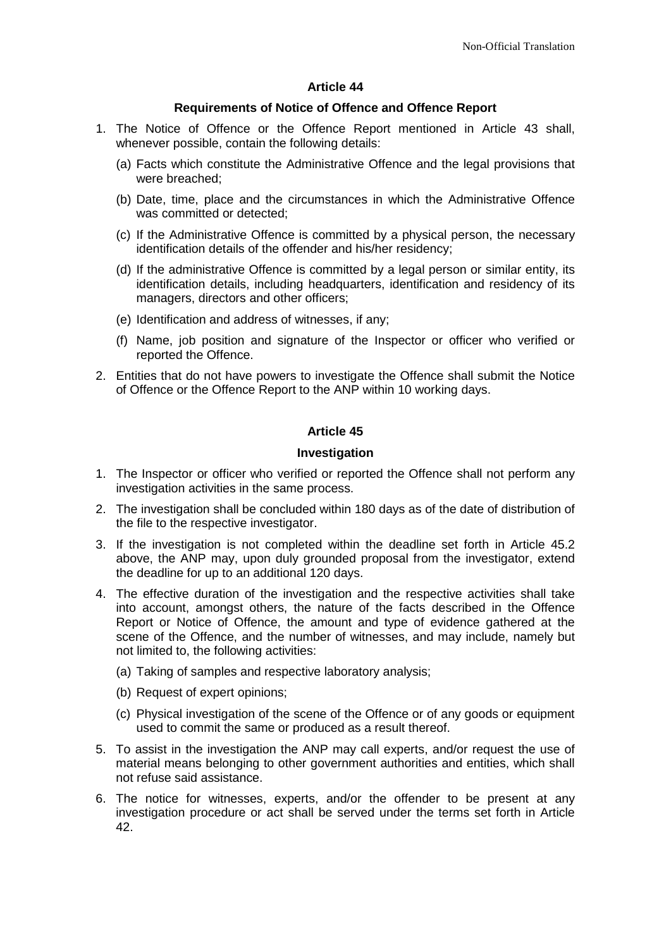#### **Requirements of Notice of Offence and Offence Report**

- 1. The Notice of Offence or the Offence Report mentioned in Article 43 shall, whenever possible, contain the following details:
	- (a) Facts which constitute the Administrative Offence and the legal provisions that were breached;
	- (b) Date, time, place and the circumstances in which the Administrative Offence was committed or detected;
	- (c) If the Administrative Offence is committed by a physical person, the necessary identification details of the offender and his/her residency;
	- (d) If the administrative Offence is committed by a legal person or similar entity, its identification details, including headquarters, identification and residency of its managers, directors and other officers;
	- (e) Identification and address of witnesses, if any;
	- (f) Name, job position and signature of the Inspector or officer who verified or reported the Offence.
- 2. Entities that do not have powers to investigate the Offence shall submit the Notice of Offence or the Offence Report to the ANP within 10 working days.

# **Article 45**

#### **Investigation**

- 1. The Inspector or officer who verified or reported the Offence shall not perform any investigation activities in the same process.
- 2. The investigation shall be concluded within 180 days as of the date of distribution of the file to the respective investigator.
- 3. If the investigation is not completed within the deadline set forth in Article 45.2 above, the ANP may, upon duly grounded proposal from the investigator, extend the deadline for up to an additional 120 days.
- 4. The effective duration of the investigation and the respective activities shall take into account, amongst others, the nature of the facts described in the Offence Report or Notice of Offence, the amount and type of evidence gathered at the scene of the Offence, and the number of witnesses, and may include, namely but not limited to, the following activities:
	- (a) Taking of samples and respective laboratory analysis;
	- (b) Request of expert opinions;
	- (c) Physical investigation of the scene of the Offence or of any goods or equipment used to commit the same or produced as a result thereof.
- 5. To assist in the investigation the ANP may call experts, and/or request the use of material means belonging to other government authorities and entities, which shall not refuse said assistance.
- 6. The notice for witnesses, experts, and/or the offender to be present at any investigation procedure or act shall be served under the terms set forth in Article 42.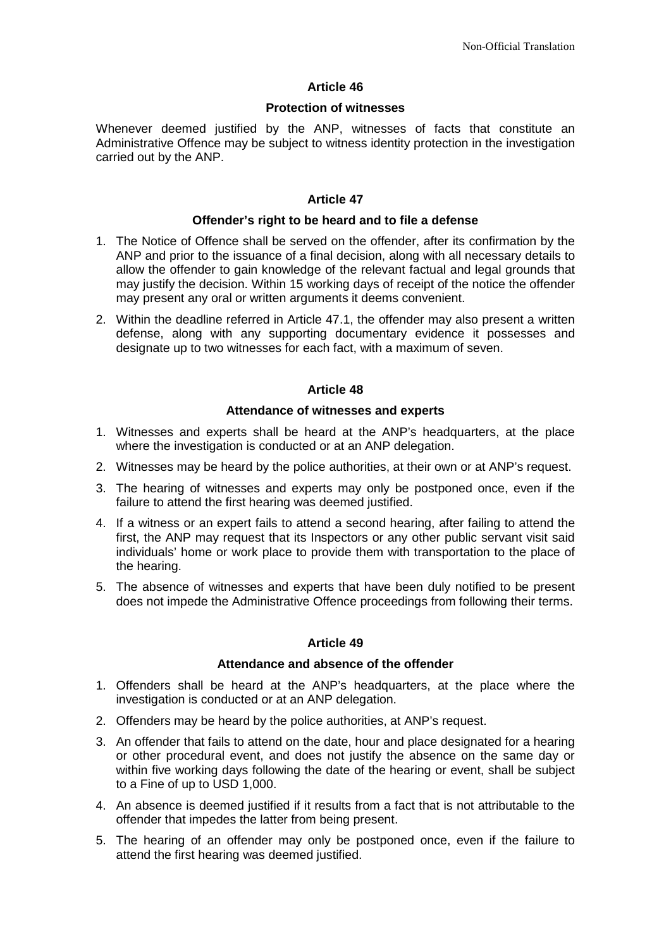#### **Protection of witnesses**

Whenever deemed justified by the ANP, witnesses of facts that constitute an Administrative Offence may be subject to witness identity protection in the investigation carried out by the ANP.

## **Article 47**

#### **Offender's right to be heard and to file a defense**

- 1. The Notice of Offence shall be served on the offender, after its confirmation by the ANP and prior to the issuance of a final decision, along with all necessary details to allow the offender to gain knowledge of the relevant factual and legal grounds that may justify the decision. Within 15 working days of receipt of the notice the offender may present any oral or written arguments it deems convenient.
- 2. Within the deadline referred in Article 47.1, the offender may also present a written defense, along with any supporting documentary evidence it possesses and designate up to two witnesses for each fact, with a maximum of seven.

#### **Article 48**

#### **Attendance of witnesses and experts**

- 1. Witnesses and experts shall be heard at the ANP's headquarters, at the place where the investigation is conducted or at an ANP delegation.
- 2. Witnesses may be heard by the police authorities, at their own or at ANP's request.
- 3. The hearing of witnesses and experts may only be postponed once, even if the failure to attend the first hearing was deemed justified.
- 4. If a witness or an expert fails to attend a second hearing, after failing to attend the first, the ANP may request that its Inspectors or any other public servant visit said individuals' home or work place to provide them with transportation to the place of the hearing.
- 5. The absence of witnesses and experts that have been duly notified to be present does not impede the Administrative Offence proceedings from following their terms.

## **Article 49**

#### **Attendance and absence of the offender**

- 1. Offenders shall be heard at the ANP's headquarters, at the place where the investigation is conducted or at an ANP delegation.
- 2. Offenders may be heard by the police authorities, at ANP's request.
- 3. An offender that fails to attend on the date, hour and place designated for a hearing or other procedural event, and does not justify the absence on the same day or within five working days following the date of the hearing or event, shall be subject to a Fine of up to USD 1,000.
- 4. An absence is deemed justified if it results from a fact that is not attributable to the offender that impedes the latter from being present.
- 5. The hearing of an offender may only be postponed once, even if the failure to attend the first hearing was deemed justified.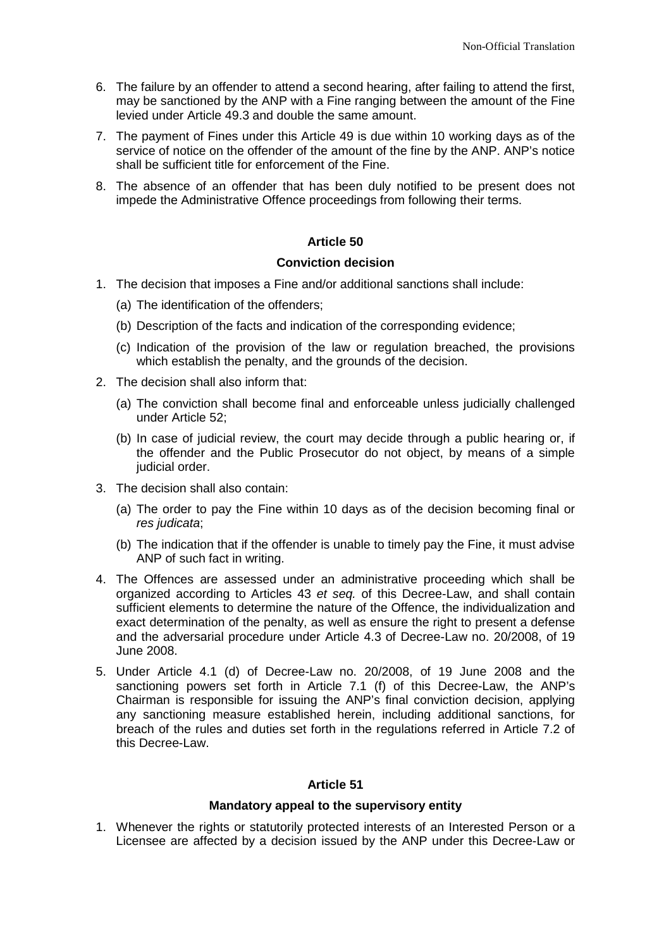- 6. The failure by an offender to attend a second hearing, after failing to attend the first, may be sanctioned by the ANP with a Fine ranging between the amount of the Fine levied under Article 49.3 and double the same amount.
- 7. The payment of Fines under this Article 49 is due within 10 working days as of the service of notice on the offender of the amount of the fine by the ANP. ANP's notice shall be sufficient title for enforcement of the Fine.
- 8. The absence of an offender that has been duly notified to be present does not impede the Administrative Offence proceedings from following their terms.

#### **Conviction decision**

- 1. The decision that imposes a Fine and/or additional sanctions shall include:
	- (a) The identification of the offenders;
	- (b) Description of the facts and indication of the corresponding evidence;
	- (c) Indication of the provision of the law or regulation breached, the provisions which establish the penalty, and the grounds of the decision.
- 2. The decision shall also inform that:
	- (a) The conviction shall become final and enforceable unless judicially challenged under Article 52;
	- (b) In case of judicial review, the court may decide through a public hearing or, if the offender and the Public Prosecutor do not object, by means of a simple judicial order.
- 3. The decision shall also contain:
	- (a) The order to pay the Fine within 10 days as of the decision becoming final or *res judicata*;
	- (b) The indication that if the offender is unable to timely pay the Fine, it must advise ANP of such fact in writing.
- 4. The Offences are assessed under an administrative proceeding which shall be organized according to Articles 43 *et seq.* of this Decree-Law, and shall contain sufficient elements to determine the nature of the Offence, the individualization and exact determination of the penalty, as well as ensure the right to present a defense and the adversarial procedure under Article 4.3 of Decree-Law no. 20/2008, of 19 June 2008.
- 5. Under Article 4.1 (d) of Decree-Law no. 20/2008, of 19 June 2008 and the sanctioning powers set forth in Article 7.1 (f) of this Decree-Law, the ANP's Chairman is responsible for issuing the ANP's final conviction decision, applying any sanctioning measure established herein, including additional sanctions, for breach of the rules and duties set forth in the regulations referred in Article 7.2 of this Decree-Law.

## **Article 51**

#### **Mandatory appeal to the supervisory entity**

1. Whenever the rights or statutorily protected interests of an Interested Person or a Licensee are affected by a decision issued by the ANP under this Decree-Law or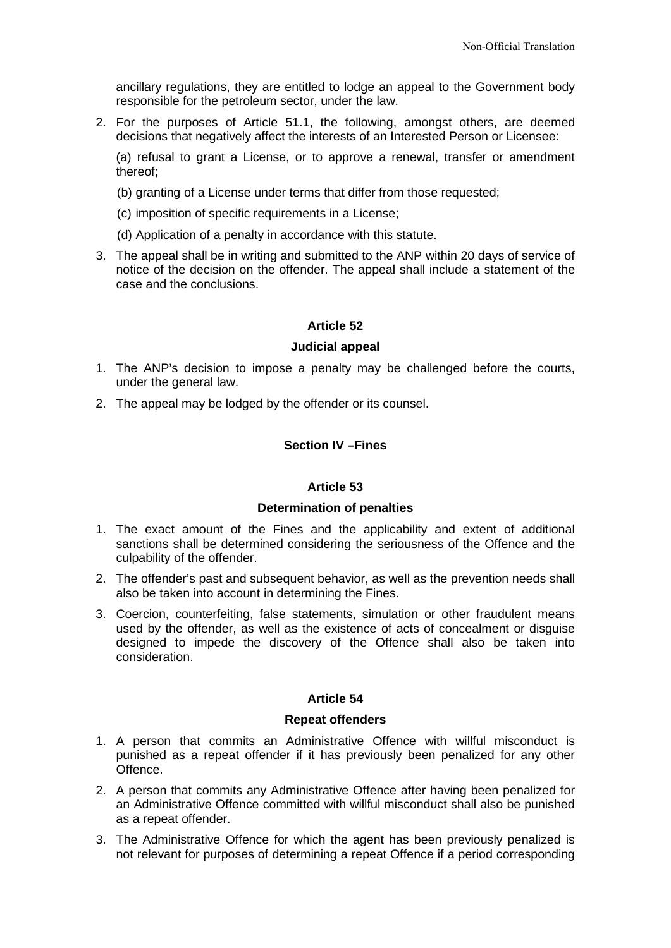ancillary regulations, they are entitled to lodge an appeal to the Government body responsible for the petroleum sector, under the law.

2. For the purposes of Article 51.1, the following, amongst others, are deemed decisions that negatively affect the interests of an Interested Person or Licensee:

(a) refusal to grant a License, or to approve a renewal, transfer or amendment thereof;

- (b) granting of a License under terms that differ from those requested;
- (c) imposition of specific requirements in a License;
- (d) Application of a penalty in accordance with this statute.
- 3. The appeal shall be in writing and submitted to the ANP within 20 days of service of notice of the decision on the offender. The appeal shall include a statement of the case and the conclusions.

## **Article 52**

#### **Judicial appeal**

- 1. The ANP's decision to impose a penalty may be challenged before the courts, under the general law.
- 2. The appeal may be lodged by the offender or its counsel.

# **Section IV –Fines**

## **Article 53**

#### **Determination of penalties**

- 1. The exact amount of the Fines and the applicability and extent of additional sanctions shall be determined considering the seriousness of the Offence and the culpability of the offender.
- 2. The offender's past and subsequent behavior, as well as the prevention needs shall also be taken into account in determining the Fines.
- 3. Coercion, counterfeiting, false statements, simulation or other fraudulent means used by the offender, as well as the existence of acts of concealment or disguise designed to impede the discovery of the Offence shall also be taken into consideration.

## **Article 54**

#### **Repeat offenders**

- 1. A person that commits an Administrative Offence with willful misconduct is punished as a repeat offender if it has previously been penalized for any other Offence.
- 2. A person that commits any Administrative Offence after having been penalized for an Administrative Offence committed with willful misconduct shall also be punished as a repeat offender.
- 3. The Administrative Offence for which the agent has been previously penalized is not relevant for purposes of determining a repeat Offence if a period corresponding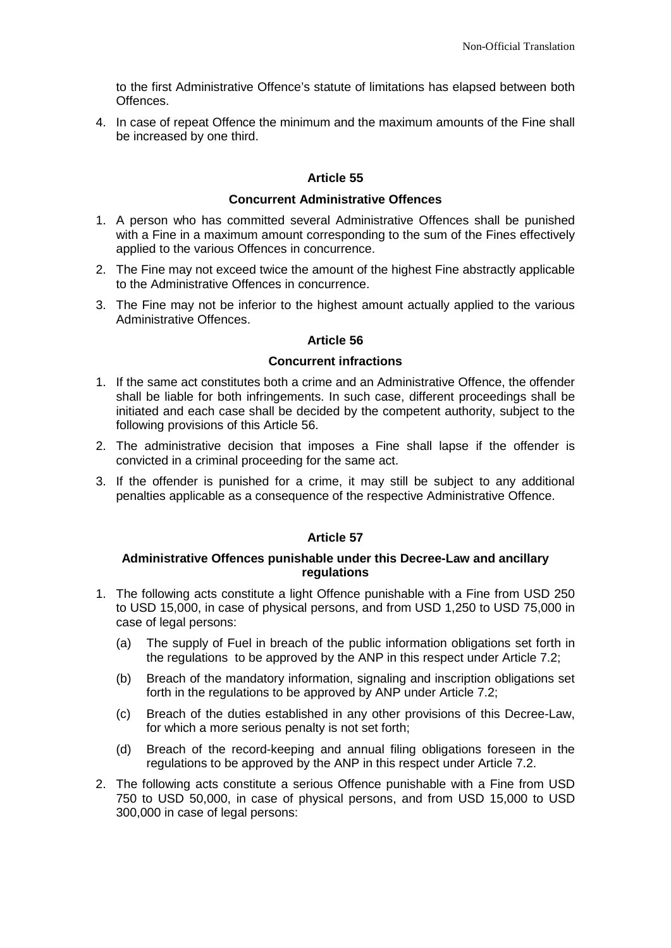to the first Administrative Offence's statute of limitations has elapsed between both Offences.

4. In case of repeat Offence the minimum and the maximum amounts of the Fine shall be increased by one third.

# **Article 55**

#### **Concurrent Administrative Offences**

- 1. A person who has committed several Administrative Offences shall be punished with a Fine in a maximum amount corresponding to the sum of the Fines effectively applied to the various Offences in concurrence.
- 2. The Fine may not exceed twice the amount of the highest Fine abstractly applicable to the Administrative Offences in concurrence.
- 3. The Fine may not be inferior to the highest amount actually applied to the various Administrative Offences.

## **Article 56**

#### **Concurrent infractions**

- 1. If the same act constitutes both a crime and an Administrative Offence, the offender shall be liable for both infringements. In such case, different proceedings shall be initiated and each case shall be decided by the competent authority, subject to the following provisions of this Article 56.
- 2. The administrative decision that imposes a Fine shall lapse if the offender is convicted in a criminal proceeding for the same act.
- 3. If the offender is punished for a crime, it may still be subject to any additional penalties applicable as a consequence of the respective Administrative Offence.

## **Article 57**

#### **Administrative Offences punishable under this Decree-Law and ancillary regulations**

- 1. The following acts constitute a light Offence punishable with a Fine from USD 250 to USD 15,000, in case of physical persons, and from USD 1,250 to USD 75,000 in case of legal persons:
	- (a) The supply of Fuel in breach of the public information obligations set forth in the regulations to be approved by the ANP in this respect under Article 7.2;
	- (b) Breach of the mandatory information, signaling and inscription obligations set forth in the regulations to be approved by ANP under Article 7.2;
	- (c) Breach of the duties established in any other provisions of this Decree-Law, for which a more serious penalty is not set forth;
	- (d) Breach of the record-keeping and annual filing obligations foreseen in the regulations to be approved by the ANP in this respect under Article 7.2.
- 2. The following acts constitute a serious Offence punishable with a Fine from USD 750 to USD 50,000, in case of physical persons, and from USD 15,000 to USD 300,000 in case of legal persons: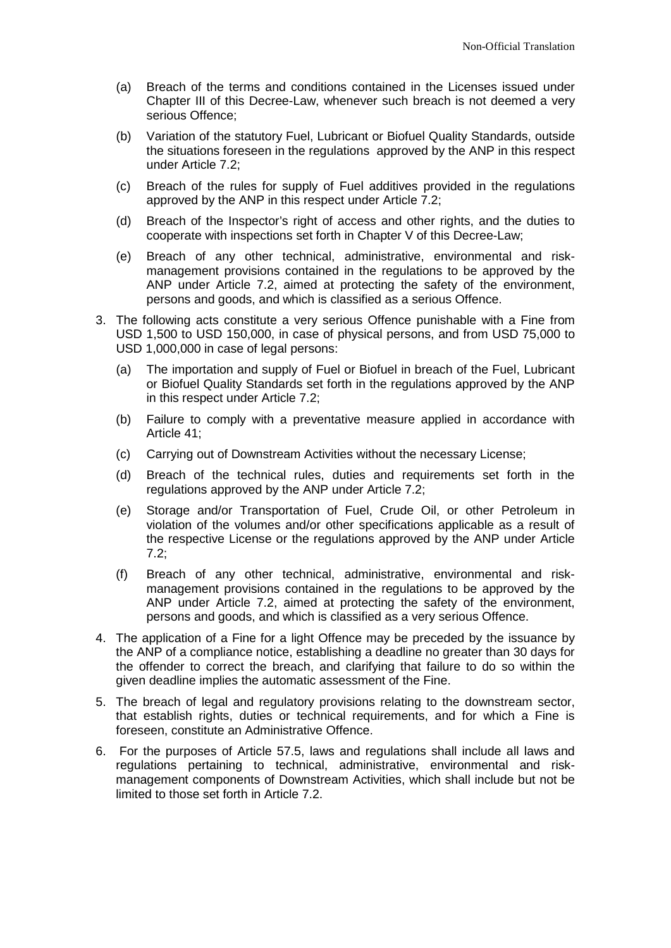- (a) Breach of the terms and conditions contained in the Licenses issued under Chapter III of this Decree-Law, whenever such breach is not deemed a very serious Offence;
- (b) Variation of the statutory Fuel, Lubricant or Biofuel Quality Standards, outside the situations foreseen in the regulations approved by the ANP in this respect under Article 7.2;
- (c) Breach of the rules for supply of Fuel additives provided in the regulations approved by the ANP in this respect under Article 7.2;
- (d) Breach of the Inspector's right of access and other rights, and the duties to cooperate with inspections set forth in Chapter V of this Decree-Law;
- (e) Breach of any other technical, administrative, environmental and riskmanagement provisions contained in the regulations to be approved by the ANP under Article 7.2, aimed at protecting the safety of the environment, persons and goods, and which is classified as a serious Offence.
- 3. The following acts constitute a very serious Offence punishable with a Fine from USD 1,500 to USD 150,000, in case of physical persons, and from USD 75,000 to USD 1,000,000 in case of legal persons:
	- (a) The importation and supply of Fuel or Biofuel in breach of the Fuel, Lubricant or Biofuel Quality Standards set forth in the regulations approved by the ANP in this respect under Article 7.2;
	- (b) Failure to comply with a preventative measure applied in accordance with Article 41;
	- (c) Carrying out of Downstream Activities without the necessary License;
	- (d) Breach of the technical rules, duties and requirements set forth in the regulations approved by the ANP under Article 7.2;
	- (e) Storage and/or Transportation of Fuel, Crude Oil, or other Petroleum in violation of the volumes and/or other specifications applicable as a result of the respective License or the regulations approved by the ANP under Article 7.2;
	- (f) Breach of any other technical, administrative, environmental and riskmanagement provisions contained in the regulations to be approved by the ANP under Article 7.2, aimed at protecting the safety of the environment, persons and goods, and which is classified as a very serious Offence.
- 4. The application of a Fine for a light Offence may be preceded by the issuance by the ANP of a compliance notice, establishing a deadline no greater than 30 days for the offender to correct the breach, and clarifying that failure to do so within the given deadline implies the automatic assessment of the Fine.
- 5. The breach of legal and regulatory provisions relating to the downstream sector, that establish rights, duties or technical requirements, and for which a Fine is foreseen, constitute an Administrative Offence.
- 6. For the purposes of Article 57.5, laws and regulations shall include all laws and regulations pertaining to technical, administrative, environmental and riskmanagement components of Downstream Activities, which shall include but not be limited to those set forth in Article 7.2.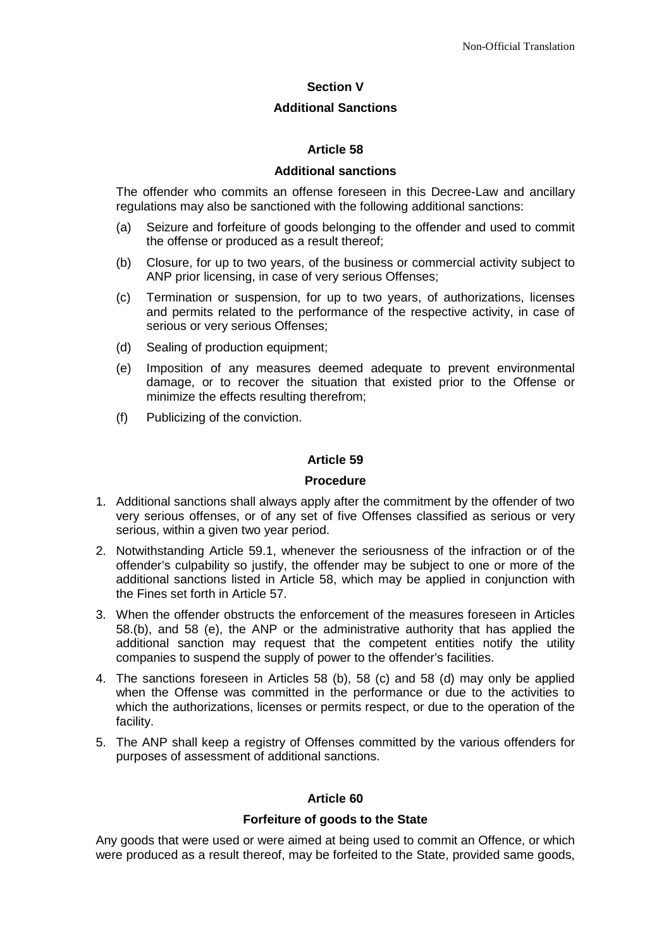# **Section V**

#### **Additional Sanctions**

## **Article 58**

#### **Additional sanctions**

The offender who commits an offense foreseen in this Decree-Law and ancillary regulations may also be sanctioned with the following additional sanctions:

- (a) Seizure and forfeiture of goods belonging to the offender and used to commit the offense or produced as a result thereof;
- (b) Closure, for up to two years, of the business or commercial activity subject to ANP prior licensing, in case of very serious Offenses;
- (c) Termination or suspension, for up to two years, of authorizations, licenses and permits related to the performance of the respective activity, in case of serious or very serious Offenses;
- (d) Sealing of production equipment;
- (e) Imposition of any measures deemed adequate to prevent environmental damage, or to recover the situation that existed prior to the Offense or minimize the effects resulting therefrom;
- (f) Publicizing of the conviction.

## **Article 59**

## **Procedure**

- 1. Additional sanctions shall always apply after the commitment by the offender of two very serious offenses, or of any set of five Offenses classified as serious or very serious, within a given two year period.
- 2. Notwithstanding Article 59.1, whenever the seriousness of the infraction or of the offender's culpability so justify, the offender may be subject to one or more of the additional sanctions listed in Article 58, which may be applied in conjunction with the Fines set forth in Article 57.
- 3. When the offender obstructs the enforcement of the measures foreseen in Articles 58.(b), and 58 (e), the ANP or the administrative authority that has applied the additional sanction may request that the competent entities notify the utility companies to suspend the supply of power to the offender's facilities.
- 4. The sanctions foreseen in Articles 58 (b), 58 (c) and 58 (d) may only be applied when the Offense was committed in the performance or due to the activities to which the authorizations, licenses or permits respect, or due to the operation of the facility.
- 5. The ANP shall keep a registry of Offenses committed by the various offenders for purposes of assessment of additional sanctions.

## **Article 60**

## **Forfeiture of goods to the State**

Any goods that were used or were aimed at being used to commit an Offence, or which were produced as a result thereof, may be forfeited to the State, provided same goods,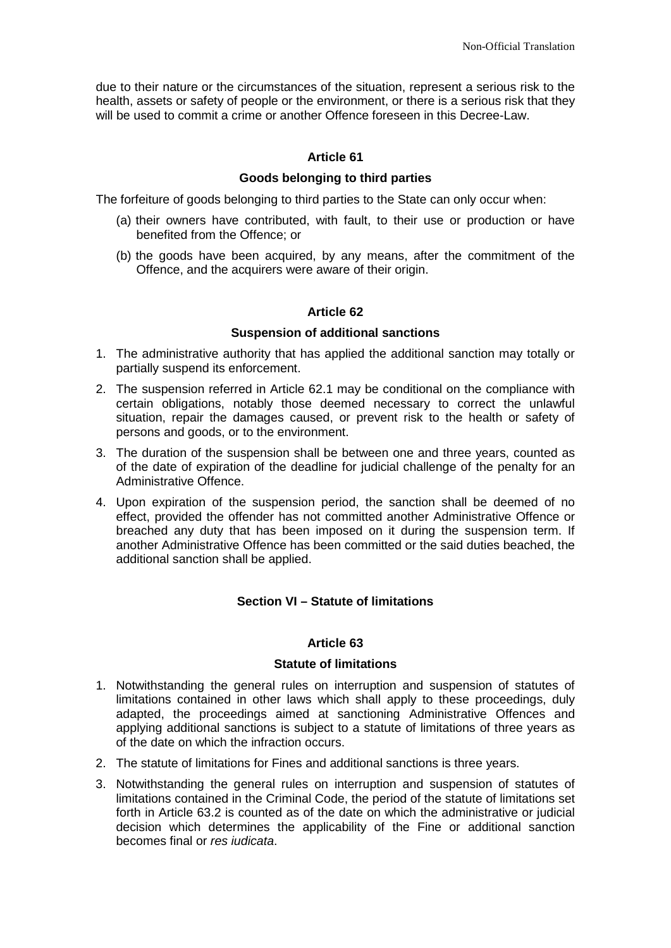due to their nature or the circumstances of the situation, represent a serious risk to the health, assets or safety of people or the environment, or there is a serious risk that they will be used to commit a crime or another Offence foreseen in this Decree-Law.

# **Article 61**

## **Goods belonging to third parties**

The forfeiture of goods belonging to third parties to the State can only occur when:

- (a) their owners have contributed, with fault, to their use or production or have benefited from the Offence; or
- (b) the goods have been acquired, by any means, after the commitment of the Offence, and the acquirers were aware of their origin.

# **Article 62**

#### **Suspension of additional sanctions**

- 1. The administrative authority that has applied the additional sanction may totally or partially suspend its enforcement.
- 2. The suspension referred in Article 62.1 may be conditional on the compliance with certain obligations, notably those deemed necessary to correct the unlawful situation, repair the damages caused, or prevent risk to the health or safety of persons and goods, or to the environment.
- 3. The duration of the suspension shall be between one and three years, counted as of the date of expiration of the deadline for judicial challenge of the penalty for an Administrative Offence.
- 4. Upon expiration of the suspension period, the sanction shall be deemed of no effect, provided the offender has not committed another Administrative Offence or breached any duty that has been imposed on it during the suspension term. If another Administrative Offence has been committed or the said duties beached, the additional sanction shall be applied.

## **Section VI – Statute of limitations**

## **Article 63**

#### **Statute of limitations**

- 1. Notwithstanding the general rules on interruption and suspension of statutes of limitations contained in other laws which shall apply to these proceedings, duly adapted, the proceedings aimed at sanctioning Administrative Offences and applying additional sanctions is subject to a statute of limitations of three years as of the date on which the infraction occurs.
- 2. The statute of limitations for Fines and additional sanctions is three years.
- 3. Notwithstanding the general rules on interruption and suspension of statutes of limitations contained in the Criminal Code, the period of the statute of limitations set forth in Article 63.2 is counted as of the date on which the administrative or judicial decision which determines the applicability of the Fine or additional sanction becomes final or *res iudicata*.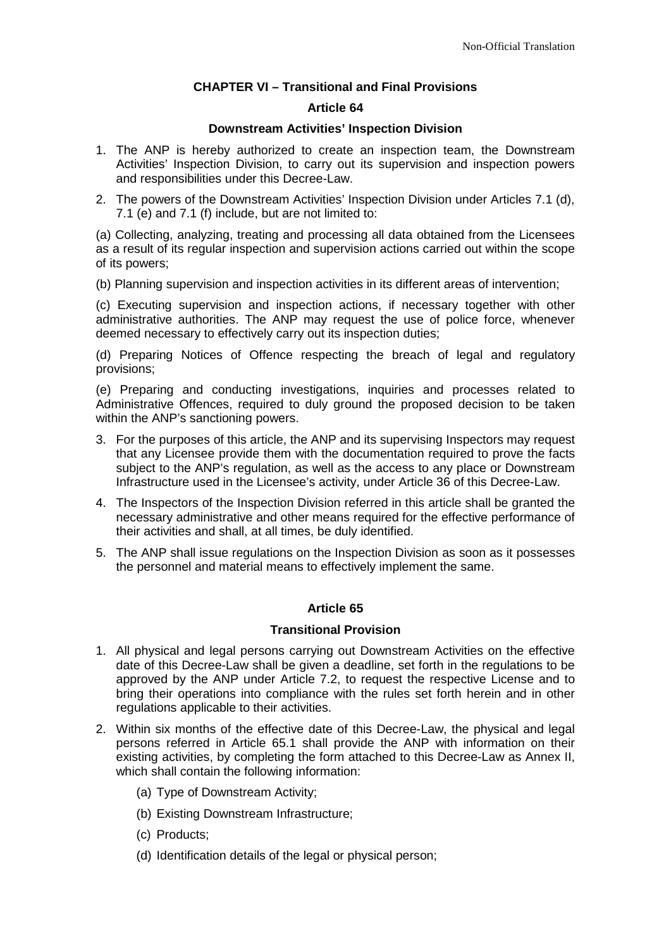# **CHAPTER VI – Transitional and Final Provisions**

#### **Article 64**

#### **Downstream Activities' Inspection Division**

- 1. The ANP is hereby authorized to create an inspection team, the Downstream Activities' Inspection Division, to carry out its supervision and inspection powers and responsibilities under this Decree-Law.
- 2. The powers of the Downstream Activities' Inspection Division under Articles 7.1 (d), 7.1 (e) and 7.1 (f) include, but are not limited to:

(a) Collecting, analyzing, treating and processing all data obtained from the Licensees as a result of its regular inspection and supervision actions carried out within the scope of its powers;

(b) Planning supervision and inspection activities in its different areas of intervention;

(c) Executing supervision and inspection actions, if necessary together with other administrative authorities. The ANP may request the use of police force, whenever deemed necessary to effectively carry out its inspection duties;

(d) Preparing Notices of Offence respecting the breach of legal and regulatory provisions;

(e) Preparing and conducting investigations, inquiries and processes related to Administrative Offences, required to duly ground the proposed decision to be taken within the ANP's sanctioning powers.

- 3. For the purposes of this article, the ANP and its supervising Inspectors may request that any Licensee provide them with the documentation required to prove the facts subject to the ANP's regulation, as well as the access to any place or Downstream Infrastructure used in the Licensee's activity, under Article 36 of this Decree-Law.
- 4. The Inspectors of the Inspection Division referred in this article shall be granted the necessary administrative and other means required for the effective performance of their activities and shall, at all times, be duly identified.
- 5. The ANP shall issue regulations on the Inspection Division as soon as it possesses the personnel and material means to effectively implement the same.

## **Article 65**

#### **Transitional Provision**

- 1. All physical and legal persons carrying out Downstream Activities on the effective date of this Decree-Law shall be given a deadline, set forth in the regulations to be approved by the ANP under Article 7.2, to request the respective License and to bring their operations into compliance with the rules set forth herein and in other regulations applicable to their activities.
- 2. Within six months of the effective date of this Decree-Law, the physical and legal persons referred in Article 65.1 shall provide the ANP with information on their existing activities, by completing the form attached to this Decree-Law as Annex II, which shall contain the following information:
	- (a) Type of Downstream Activity;
	- (b) Existing Downstream Infrastructure;
	- (c) Products;
	- (d) Identification details of the legal or physical person;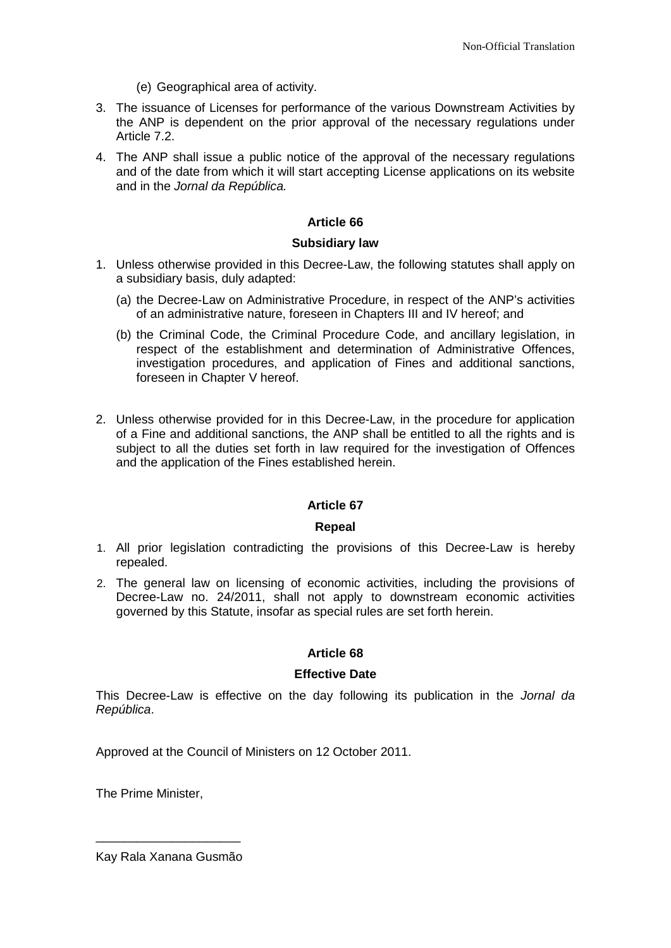- (e) Geographical area of activity.
- 3. The issuance of Licenses for performance of the various Downstream Activities by the ANP is dependent on the prior approval of the necessary regulations under Article 7.2.
- 4. The ANP shall issue a public notice of the approval of the necessary regulations and of the date from which it will start accepting License applications on its website and in the *Jornal da República.*

#### **Subsidiary law**

- 1. Unless otherwise provided in this Decree-Law, the following statutes shall apply on a subsidiary basis, duly adapted:
	- (a) the Decree-Law on Administrative Procedure, in respect of the ANP's activities of an administrative nature, foreseen in Chapters III and IV hereof; and
	- (b) the Criminal Code, the Criminal Procedure Code, and ancillary legislation, in respect of the establishment and determination of Administrative Offences, investigation procedures, and application of Fines and additional sanctions, foreseen in Chapter V hereof.
- 2. Unless otherwise provided for in this Decree-Law, in the procedure for application of a Fine and additional sanctions, the ANP shall be entitled to all the rights and is subject to all the duties set forth in law required for the investigation of Offences and the application of the Fines established herein.

#### **Article 67**

#### **Repeal**

- 1. All prior legislation contradicting the provisions of this Decree-Law is hereby repealed.
- 2. The general law on licensing of economic activities, including the provisions of Decree-Law no. 24/2011, shall not apply to downstream economic activities governed by this Statute, insofar as special rules are set forth herein.

#### **Article 68**

#### **Effective Date**

This Decree-Law is effective on the day following its publication in the *Jornal da República*.

Approved at the Council of Ministers on 12 October 2011.

The Prime Minister,

\_\_\_\_\_\_\_\_\_\_\_\_\_\_\_\_\_\_\_\_\_ Kay Rala Xanana Gusmão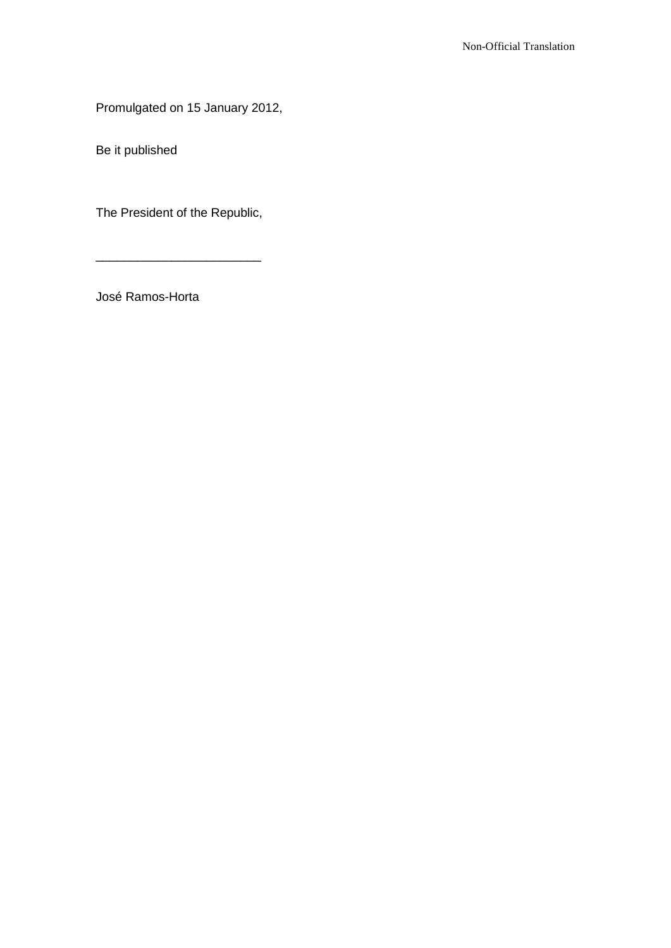Promulgated on 15 January 2012,

Be it published

The President of the Republic,

\_\_\_\_\_\_\_\_\_\_\_\_\_\_\_\_\_\_\_\_\_\_\_\_

José Ramos-Horta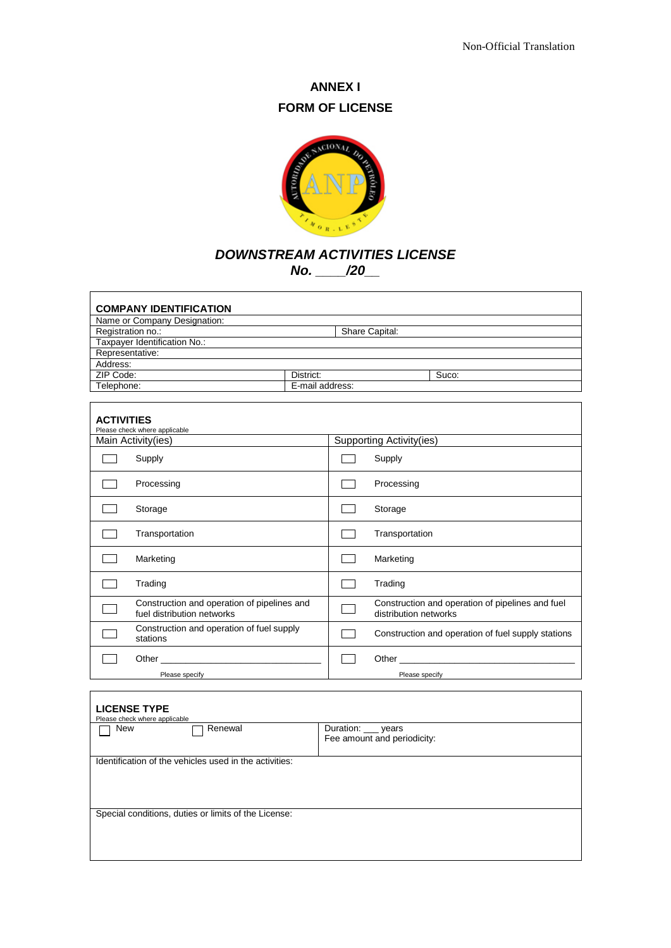<u> 1980 - Johann Barbara, martxa amerikan personal (h. 1980).</u>

 $\overline{\mathbf{u}}$ 

٦

 $\overline{\phantom{a}}$ 

# **ANNEX I FORM OF LICENSE**



# *DOWNSTREAM ACTIVITIES LICENSE*

*No. \_\_\_\_/20\_\_*

 $\blacksquare$ 

 $\overline{\Gamma}$ 

 $\mathsf{r}$ 

| <b>COMPANY IDENTIFICATION</b> |                 |       |
|-------------------------------|-----------------|-------|
| Name or Company Designation:  |                 |       |
| Registration no.:             | Share Capital:  |       |
| Taxpayer Identification No.:  |                 |       |
| Representative:               |                 |       |
| Address:                      |                 |       |
| ZIP Code:                     | District:       | Suco: |
| Telephone:                    | E-mail address: |       |
|                               |                 |       |

| <b>ACTIVITIES</b><br>Please check where applicable                                                                                                                                                                             |                                                                           |
|--------------------------------------------------------------------------------------------------------------------------------------------------------------------------------------------------------------------------------|---------------------------------------------------------------------------|
| Main Activity (ies)                                                                                                                                                                                                            | Supporting Activity(ies)                                                  |
| Supply                                                                                                                                                                                                                         | Supply                                                                    |
| Processing                                                                                                                                                                                                                     | Processing                                                                |
| Storage                                                                                                                                                                                                                        | Storage                                                                   |
| Transportation                                                                                                                                                                                                                 | Transportation                                                            |
| Marketing                                                                                                                                                                                                                      | Marketing                                                                 |
| Trading                                                                                                                                                                                                                        | Trading                                                                   |
| Construction and operation of pipelines and<br>└<br>fuel distribution networks                                                                                                                                                 | Construction and operation of pipelines and fuel<br>distribution networks |
| Construction and operation of fuel supply<br>stations                                                                                                                                                                          | Construction and operation of fuel supply stations                        |
| Other the contract of the contract of the contract of the contract of the contract of the contract of the contract of the contract of the contract of the contract of the contract of the contract of the contract of the cont |                                                                           |
| Please specify                                                                                                                                                                                                                 | Please specify                                                            |

| <b>LICENSE TYPE</b><br>Please check where applicable |                                                        |                                                    |
|------------------------------------------------------|--------------------------------------------------------|----------------------------------------------------|
| New                                                  | Renewal                                                | Duration: ___ years<br>Fee amount and periodicity: |
|                                                      | Identification of the vehicles used in the activities: |                                                    |
|                                                      | Special conditions, duties or limits of the License:   |                                                    |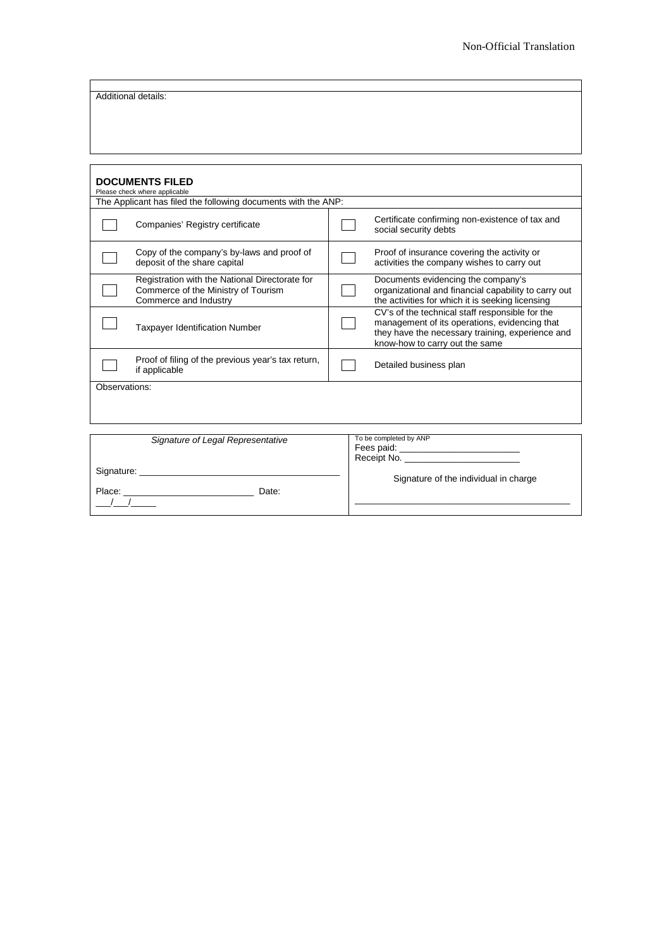| Additional details: |  |
|---------------------|--|
|                     |  |

|               | <b>DOCUMENTS FILED</b><br>Please check where applicable                                                        |                                                                                                                                                                                        |
|---------------|----------------------------------------------------------------------------------------------------------------|----------------------------------------------------------------------------------------------------------------------------------------------------------------------------------------|
|               | The Applicant has filed the following documents with the ANP:                                                  |                                                                                                                                                                                        |
|               | Companies' Registry certificate                                                                                | Certificate confirming non-existence of tax and<br>social security debts                                                                                                               |
|               | Copy of the company's by-laws and proof of<br>deposit of the share capital                                     | Proof of insurance covering the activity or<br>activities the company wishes to carry out                                                                                              |
|               | Registration with the National Directorate for<br>Commerce of the Ministry of Tourism<br>Commerce and Industry | Documents evidencing the company's<br>organizational and financial capability to carry out<br>the activities for which it is seeking licensing                                         |
|               | <b>Taxpayer Identification Number</b>                                                                          | CV's of the technical staff responsible for the<br>management of its operations, evidencing that<br>they have the necessary training, experience and<br>know-how to carry out the same |
|               | Proof of filing of the previous year's tax return,<br>if applicable                                            | Detailed business plan                                                                                                                                                                 |
| Observations: |                                                                                                                |                                                                                                                                                                                        |
|               |                                                                                                                |                                                                                                                                                                                        |
|               |                                                                                                                |                                                                                                                                                                                        |
|               | Signature of Legal Representative                                                                              | To be completed by ANP<br>Fees paid: _<br>Receipt No.                                                                                                                                  |

|                 | Receipt No.                           |
|-----------------|---------------------------------------|
| Signature:      | Signature of the individual in charge |
| Place:<br>Date: |                                       |
|                 |                                       |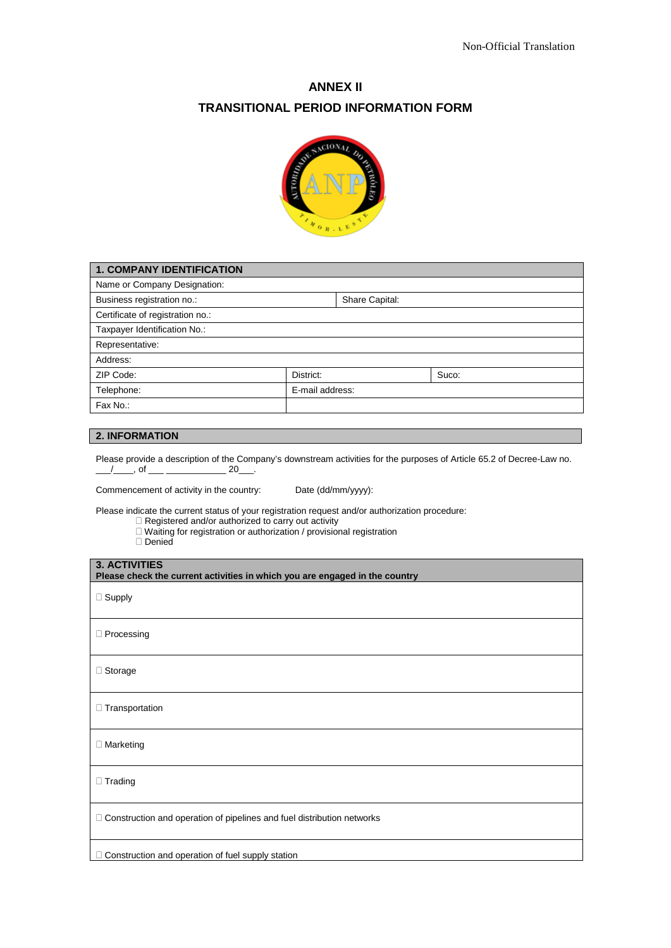# **ANNEX II TRANSITIONAL PERIOD INFORMATION FORM**



| <b>1. COMPANY IDENTIFICATION</b> |                 |                |       |
|----------------------------------|-----------------|----------------|-------|
| Name or Company Designation:     |                 |                |       |
| Business registration no.:       |                 | Share Capital: |       |
| Certificate of registration no.: |                 |                |       |
| Taxpayer Identification No.:     |                 |                |       |
| Representative:                  |                 |                |       |
| Address:                         |                 |                |       |
| ZIP Code:                        | District:       |                | Suco: |
| Telephone:                       | E-mail address: |                |       |
| Fax No.:                         |                 |                |       |

#### **2. INFORMATION**

Please provide a description of the Company's downstream activities for the purposes of Article 65.2 of Decree-Law no.  $\_$   $/$   $\_$  , of  $\_$ 

Commencement of activity in the country: Date (dd/mm/yyyy):

Please indicate the current status of your registration request and/or authorization procedure:

- □ Registered and/or authorized to carry out activity
- Waiting for registration or authorization / provisional registration
- Denied

| <b>3. ACTIVITIES</b><br>Please check the current activities in which you are engaged in the country |
|-----------------------------------------------------------------------------------------------------|
| $\Box$ Supply                                                                                       |
| □ Processing                                                                                        |
| $\Box$ Storage                                                                                      |
| □ Transportation                                                                                    |
| $\Box$ Marketing                                                                                    |
| $\Box$ Trading                                                                                      |
| □ Construction and operation of pipelines and fuel distribution networks                            |
| $\Box$ Construction and operation of fuel supply station                                            |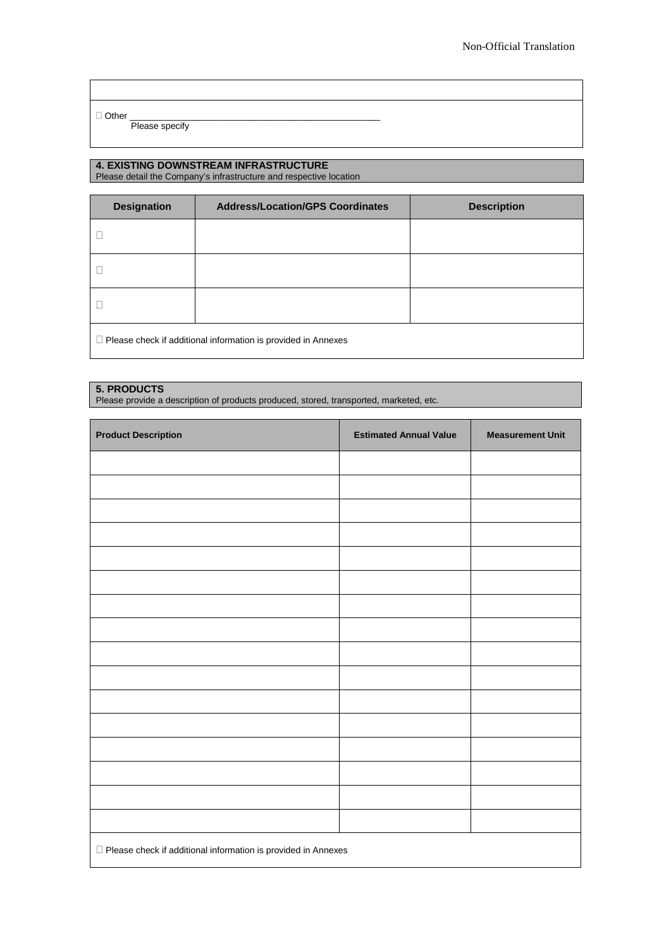$\Box$  Other

Please specify

#### **4. EXISTING DOWNSTREAM INFRASTRUCTURE** Please detail the Company's infrastructure and respective location

**Designation Address/Location/GPS Coordinates Description**  $\Box$  $\Box$  $\Box$  $\Box$  Please check if additional information is provided in Annexes

#### **5. PRODUCTS**

Please provide a description of products produced, stored, transported, marketed, etc.

| <b>Product Description</b>                                           | <b>Estimated Annual Value</b> | <b>Measurement Unit</b> |
|----------------------------------------------------------------------|-------------------------------|-------------------------|
|                                                                      |                               |                         |
|                                                                      |                               |                         |
|                                                                      |                               |                         |
|                                                                      |                               |                         |
|                                                                      |                               |                         |
|                                                                      |                               |                         |
|                                                                      |                               |                         |
|                                                                      |                               |                         |
|                                                                      |                               |                         |
|                                                                      |                               |                         |
|                                                                      |                               |                         |
|                                                                      |                               |                         |
|                                                                      |                               |                         |
|                                                                      |                               |                         |
|                                                                      |                               |                         |
|                                                                      |                               |                         |
| $\Box$ Please check if additional information is provided in Annexes |                               |                         |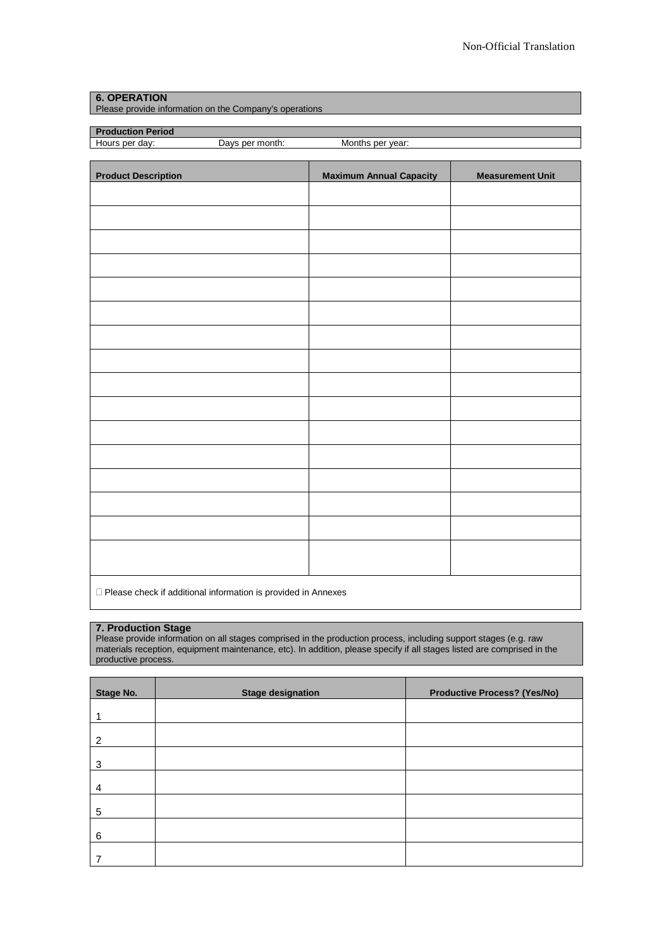#### **6. OPERATION**

Please provide information on the Company's operations

# **Production Period**<br>**Hours per day:**

Days per month: Months per year:

| <b>Product Description</b>                                           | <b>Maximum Annual Capacity</b> | <b>Measurement Unit</b> |
|----------------------------------------------------------------------|--------------------------------|-------------------------|
|                                                                      |                                |                         |
|                                                                      |                                |                         |
|                                                                      |                                |                         |
|                                                                      |                                |                         |
|                                                                      |                                |                         |
|                                                                      |                                |                         |
|                                                                      |                                |                         |
|                                                                      |                                |                         |
|                                                                      |                                |                         |
|                                                                      |                                |                         |
|                                                                      |                                |                         |
|                                                                      |                                |                         |
|                                                                      |                                |                         |
|                                                                      |                                |                         |
|                                                                      |                                |                         |
|                                                                      |                                |                         |
|                                                                      |                                |                         |
| $\Box$ Please check if additional information is provided in Annexes |                                |                         |

**7. Production Stage**

Please provide information on all stages comprised in the production process, including support stages (e.g. raw materials reception, equipment maintenance, etc). In addition, please specify if all stages listed are comprised in the productive process.

| <b>Stage No.</b> | <b>Stage designation</b> | <b>Productive Process? (Yes/No)</b> |
|------------------|--------------------------|-------------------------------------|
|                  |                          |                                     |
| 2                |                          |                                     |
|                  |                          |                                     |
| 3                |                          |                                     |
| 4                |                          |                                     |
| 5                |                          |                                     |
| 6                |                          |                                     |
|                  |                          |                                     |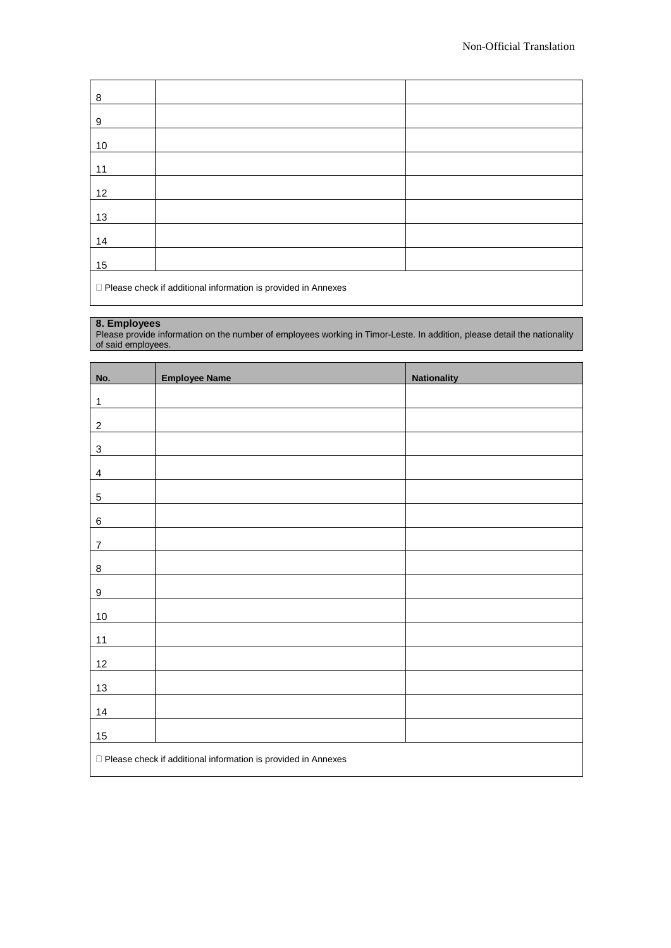| 8                                                                    |  |  |
|----------------------------------------------------------------------|--|--|
| 9                                                                    |  |  |
| 10                                                                   |  |  |
| 11                                                                   |  |  |
| 12                                                                   |  |  |
| 13                                                                   |  |  |
| 14                                                                   |  |  |
| 15                                                                   |  |  |
| $\Box$ Please check if additional information is provided in Annexes |  |  |

#### **8. Employees**

Please provide information on the number of employees working in Timor-Leste. In addition, please detail the nationality of said employees.

| No.                                                                  | <b>Employee Name</b> | <b>Nationality</b> |
|----------------------------------------------------------------------|----------------------|--------------------|
| 1                                                                    |                      |                    |
| $\overline{c}$                                                       |                      |                    |
| $\ensuremath{\mathsf{3}}$                                            |                      |                    |
| $\overline{4}$                                                       |                      |                    |
| $\sqrt{5}$                                                           |                      |                    |
| $\,6\,$                                                              |                      |                    |
| $\boldsymbol{7}$                                                     |                      |                    |
| 8                                                                    |                      |                    |
| $\boldsymbol{9}$                                                     |                      |                    |
| $10\,$                                                               |                      |                    |
| 11                                                                   |                      |                    |
| 12                                                                   |                      |                    |
| $13$                                                                 |                      |                    |
| $14$                                                                 |                      |                    |
| 15                                                                   |                      |                    |
| $\Box$ Please check if additional information is provided in Annexes |                      |                    |